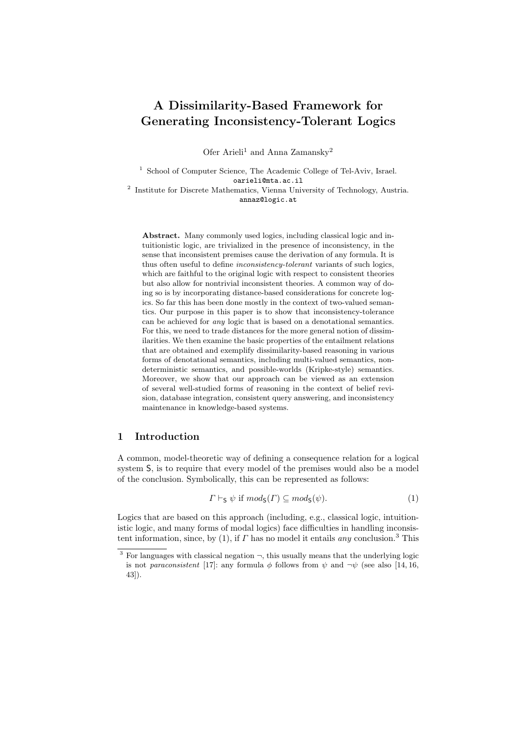# **A Dissimilarity-Based Framework for Generating Inconsistency-Tolerant Logics**

Ofer Arieli<sup>1</sup> and Anna Zamansky<sup>2</sup>

<sup>1</sup> School of Computer Science, The Academic College of Tel-Aviv, Israel. oarieli@mta.ac.il

<sup>2</sup> Institute for Discrete Mathematics, Vienna University of Technology, Austria. annaz@logic.at

**Abstract.** Many commonly used logics, including classical logic and intuitionistic logic, are trivialized in the presence of inconsistency, in the sense that inconsistent premises cause the derivation of any formula. It is thus often useful to define *inconsistency-tolerant* variants of such logics, which are faithful to the original logic with respect to consistent theories but also allow for nontrivial inconsistent theories. A common way of doing so is by incorporating distance-based considerations for concrete logics. So far this has been done mostly in the context of two-valued semantics. Our purpose in this paper is to show that inconsistency-tolerance can be achieved for *any* logic that is based on a denotational semantics. For this, we need to trade distances for the more general notion of dissimilarities. We then examine the basic properties of the entailment relations that are obtained and exemplify dissimilarity-based reasoning in various forms of denotational semantics, including multi-valued semantics, nondeterministic semantics, and possible-worlds (Kripke-style) semantics. Moreover, we show that our approach can be viewed as an extension of several well-studied forms of reasoning in the context of belief revision, database integration, consistent query answering, and inconsistency maintenance in knowledge-based systems.

## **1 Introduction**

A common, model-theoretic way of defining a consequence relation for a logical system S, is to require that every model of the premises would also be a model of the conclusion. Symbolically, this can be represented as follows:

$$
\Gamma \vdash_{\mathsf{S}} \psi \text{ if } \operatorname{mod}_{\mathsf{S}}(\Gamma) \subseteq \operatorname{mod}_{\mathsf{S}}(\psi). \tag{1}
$$

Logics that are based on this approach (including, e.g., classical logic, intuitionistic logic, and many forms of modal logics) face difficulties in handling inconsistent information, since, by (1), if *Γ* has no model it entails *any* conclusion.<sup>3</sup> This

<sup>&</sup>lt;sup>3</sup> For languages with classical negation  $\neg$ , this usually means that the underlying logic is not *paraconsistent* [17]: any formula  $\phi$  follows from  $\psi$  and  $\neg \psi$  (see also [14, 16, 43]).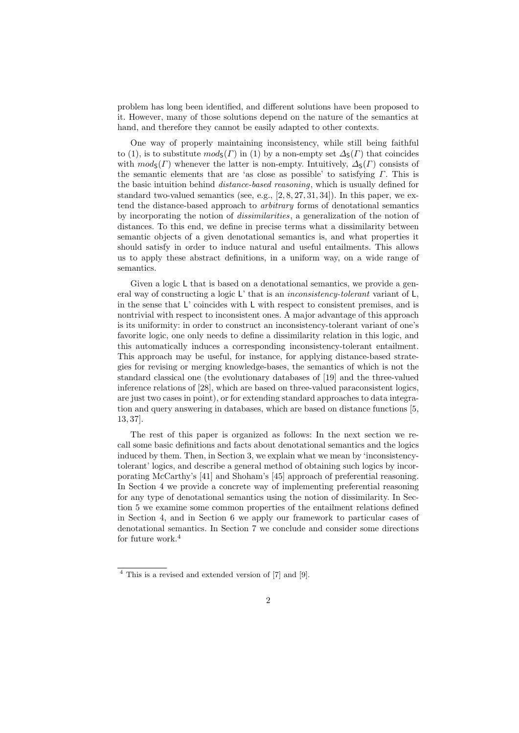problem has long been identified, and different solutions have been proposed to it. However, many of those solutions depend on the nature of the semantics at hand, and therefore they cannot be easily adapted to other contexts.

One way of properly maintaining inconsistency, while still being faithful to (1), is to substitute  $mod_5(\Gamma)$  in (1) by a non-empty set  $\Delta_5(\Gamma)$  that coincides with  $mod_{S}(F)$  whenever the latter is non-empty. Intuitively,  $\Delta_{S}(F)$  consists of the semantic elements that are 'as close as possible' to satisfying *Γ*. This is the basic intuition behind *distance-based reasoning*, which is usually defined for standard two-valued semantics (see, e.g.,  $[2, 8, 27, 31, 34]$ ). In this paper, we extend the distance-based approach to *arbitrary* forms of denotational semantics by incorporating the notion of *dissimilarities*, a generalization of the notion of distances. To this end, we define in precise terms what a dissimilarity between semantic objects of a given denotational semantics is, and what properties it should satisfy in order to induce natural and useful entailments. This allows us to apply these abstract definitions, in a uniform way, on a wide range of semantics.

Given a logic L that is based on a denotational semantics, we provide a general way of constructing a logic L' that is an *inconsistency-tolerant* variant of L, in the sense that L' coincides with L with respect to consistent premises, and is nontrivial with respect to inconsistent ones. A major advantage of this approach is its uniformity: in order to construct an inconsistency-tolerant variant of one's favorite logic, one only needs to define a dissimilarity relation in this logic, and this automatically induces a corresponding inconsistency-tolerant entailment. This approach may be useful, for instance, for applying distance-based strategies for revising or merging knowledge-bases, the semantics of which is not the standard classical one (the evolutionary databases of [19] and the three-valued inference relations of [28], which are based on three-valued paraconsistent logics, are just two cases in point), or for extending standard approaches to data integration and query answering in databases, which are based on distance functions [5, 13, 37].

The rest of this paper is organized as follows: In the next section we recall some basic definitions and facts about denotational semantics and the logics induced by them. Then, in Section 3, we explain what we mean by 'inconsistencytolerant' logics, and describe a general method of obtaining such logics by incorporating McCarthy's [41] and Shoham's [45] approach of preferential reasoning. In Section 4 we provide a concrete way of implementing preferential reasoning for any type of denotational semantics using the notion of dissimilarity. In Section 5 we examine some common properties of the entailment relations defined in Section 4, and in Section 6 we apply our framework to particular cases of denotational semantics. In Section 7 we conclude and consider some directions for future work.<sup>4</sup>

<sup>4</sup> This is a revised and extended version of [7] and [9].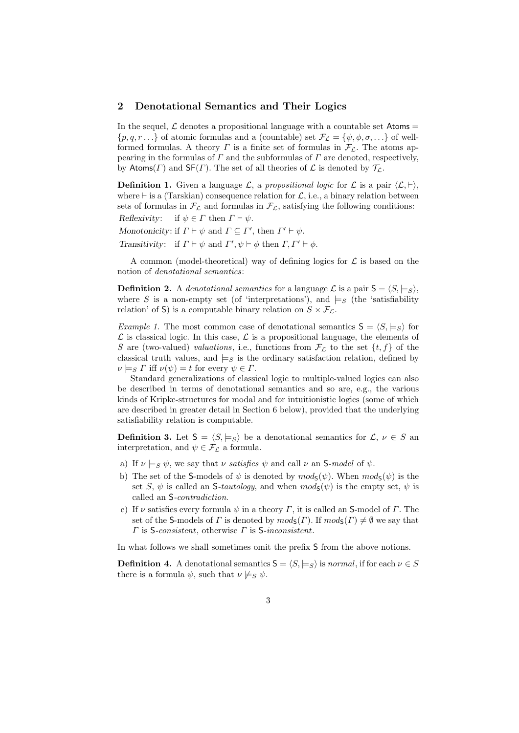#### **2 Denotational Semantics and Their Logics**

In the sequel,  $\mathcal L$  denotes a propositional language with a countable set Atoms  $=$  $\{p, q, r \ldots\}$  of atomic formulas and a (countable) set  $\mathcal{F}_{\mathcal{L}} = \{\psi, \phi, \sigma, \ldots\}$  of wellformed formulas. A theory *Γ* is a finite set of formulas in  $\mathcal{F}_L$ . The atoms appearing in the formulas of *Γ* and the subformulas of *Γ* are denoted, respectively, by Atoms(*Γ*) and  $SF(\Gamma)$ . The set of all theories of *L* is denoted by  $\mathcal{T}_\mathcal{L}$ .

**Definition 1.** Given a language  $\mathcal{L}$ , a *propositional logic* for  $\mathcal{L}$  is a pair  $\langle \mathcal{L}, \vdash \rangle$ , where *⊢* is a (Tarskian) consequence relation for *L*, i.e., a binary relation between sets of formulas in  $\mathcal{F}_L$  and formulas in  $\mathcal{F}_L$ , satisfying the following conditions: *Reflexivity*: if  $\psi \in \Gamma$  then  $\Gamma \vdash \psi$ .

*Monotonicity*: if  $\Gamma \vdash \psi$  and  $\Gamma \subseteq \Gamma'$ , then  $\Gamma' \vdash \psi$ .

*Transitivity*: if  $\Gamma \vdash \psi$  and  $\Gamma', \psi \vdash \phi$  then  $\Gamma, \Gamma' \vdash \phi$ .

A common (model-theoretical) way of defining logics for *L* is based on the notion of *denotational semantics*:

**Definition 2.** A *denotational semantics* for a language  $\mathcal{L}$  is a pair  $S = \langle S, \models_S \rangle$ , where *S* is a non-empty set (of 'interpretations'), and  $\models$ *S* (the 'satisfiability relation' of S) is a computable binary relation on  $S \times \mathcal{F}_L$ .

*Example 1.* The most common case of denotational semantics  $S = \langle S, \models_S \rangle$  for  $\mathcal L$  is classical logic. In this case,  $\mathcal L$  is a propositional language, the elements of *S* are (two-valued) *valuations*, i.e., functions from  $\mathcal{F}_L$  to the set  $\{t, f\}$  of the classical truth values, and  $\models_S$  is the ordinary satisfaction relation, defined by  $\nu \models_S \Gamma$  iff  $\nu(\psi) = t$  for every  $\psi \in \Gamma$ .

Standard generalizations of classical logic to multiple-valued logics can also be described in terms of denotational semantics and so are, e.g., the various kinds of Kripke-structures for modal and for intuitionistic logics (some of which are described in greater detail in Section 6 below), provided that the underlying satisfiability relation is computable.

**Definition 3.** Let  $S = \langle S, \models_S \rangle$  be a denotational semantics for  $\mathcal{L}, \nu \in S$  and interpretation, and  $\psi \in \mathcal{F}_{\mathcal{L}}$  a formula.

- a) If  $\nu \models_S \psi$ , we say that  $\nu$  *satisfies*  $\psi$  and call  $\nu$  an S-model of  $\psi$ .
- b) The set of the S-models of  $\psi$  is denoted by  $mod_{\mathsf{S}}(\psi)$ . When  $mod_{\mathsf{S}}(\psi)$  is the set *S*,  $\psi$  is called an *S-tautology*, and when  $mod_{S}(\psi)$  is the empty set,  $\psi$  is called an S*-contradiction*.
- c) If *ν* satisfies every formula *ψ* in a theory *Γ*, it is called an S-model of *Γ*. The set of the S-models of *Γ* is denoted by  $mod_5(\Gamma)$ . If  $mod_5(\Gamma) \neq \emptyset$  we say that *Γ* is S*-consistent*, otherwise *Γ* is S*-inconsistent*.

In what follows we shall sometimes omit the prefix S from the above notions.

**Definition 4.** A denotational semantics  $S = \langle S, \models_S \rangle$  is *normal*, if for each  $\nu \in S$ there is a formula  $\psi$ , such that  $\nu \not\models_S \psi$ .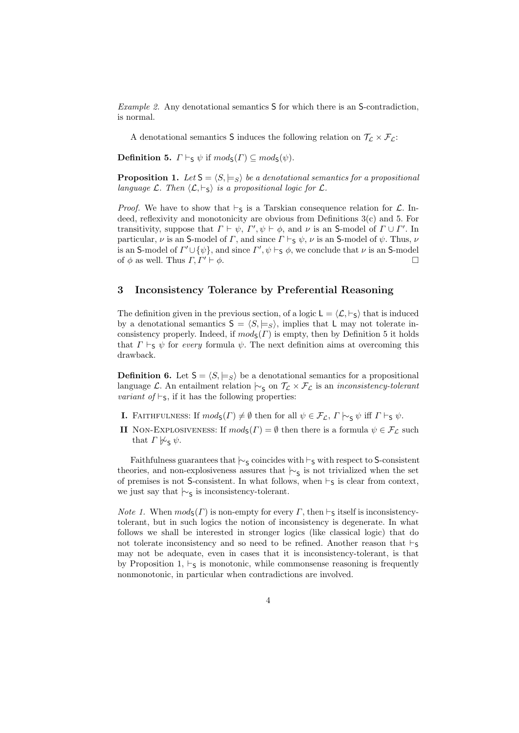*Example 2.* Any denotational semantics S for which there is an S-contradiction, is normal.

A denotational semantics S induces the following relation on  $\mathcal{T}_{\mathcal{L}} \times \mathcal{F}_{\mathcal{L}}$ :

**Definition 5.**  $\Gamma \vdash_S \psi$  if  $mod_S(\Gamma) \subseteq mod_S(\psi)$ .

**Proposition 1.** Let  $S = \langle S, \models_S \rangle$  be a denotational semantics for a propositional *language*  $\mathcal{L}$ *. Then*  $\langle \mathcal{L}, \vdash_{\mathsf{S}} \rangle$  *is a propositional logic for*  $\mathcal{L}$ *.* 

*Proof.* We have to show that  $\vdash$ S is a Tarskian consequence relation for  $\mathcal{L}$ . Indeed, reflexivity and monotonicity are obvious from Definitions  $3(c)$  and 5. For transitivity, suppose that  $\Gamma \vdash \psi$ ,  $\Gamma'$ ,  $\psi \vdash \phi$ , and  $\nu$  is an S-model of  $\Gamma \cup \Gamma'$ . In particular,  $\nu$  is an S-model of *Γ*, and since  $\Gamma \vdash_S \psi$ ,  $\nu$  is an S-model of  $\psi$ . Thus,  $\nu$ is an S-model of  $\varGamma' \cup \{\psi\}$ , and since  $\varGamma', \psi \vdash_S \phi$ , we conclude that  $\nu$  is an S-model of  $\phi$  as well. Thus  $\Gamma, \Gamma' \vdash \phi$ .

#### **3 Inconsistency Tolerance by Preferential Reasoning**

The definition given in the previous section, of a logic  $L = \langle \mathcal{L}, \vdash_S \rangle$  that is induced by a denotational semantics  $S = \langle S, \models_S \rangle$ , implies that L may not tolerate inconsistency properly. Indeed, if  $mod_{S}(F)$  is empty, then by Definition 5 it holds that  $\Gamma \vdash_S \psi$  for *every* formula  $\psi$ . The next definition aims at overcoming this drawback.

**Definition 6.** Let  $S = \langle S, \models_S \rangle$  be a denotational semantics for a propositional language *L*. An entailment relation  $\sim$ <sub>S</sub> on  $\tau$ <sub>*L*</sub> × *F*<sub>*L*</sub> is an *inconsistency-tolerant variant of*  $\vdash$ <sub>S</sub>, if it has the following properties:

- **I.** FAITHFULNESS: If  $mod_5(\Gamma) \neq \emptyset$  then for all  $\psi \in \mathcal{F}_\mathcal{L}$ ,  $\Gamma \vdash_{\mathsf{S}} \psi$  iff  $\Gamma \vdash_{\mathsf{S}} \psi$ .
- **II** NON-EXPLOSIVENESS: If  $mod_{S}(F) = \emptyset$  then there is a formula  $\psi \in \mathcal{F}_{\mathcal{L}}$  such that  $\Gamma \not\sim_{\mathsf{S}} \psi$ .

Faithfulness guarantees that  $\vdash$ <sub>S</sub> coincides with *⊦*<sub>S</sub> with respect to S-consistent theories, and non-explosiveness assures that  $\sim$ <sub>S</sub> is not trivialized when the set of premises is not S-consistent. In what follows, when *⊢*S is clear from context, we just say that  $\vdash$ <sub>S</sub> is inconsistency-tolerant.

*Note 1.* When  $mod_{S}(\Gamma)$  is non-empty for every  $\Gamma$ , then  $\vdash_{S}$  itself is inconsistencytolerant, but in such logics the notion of inconsistency is degenerate. In what follows we shall be interested in stronger logics (like classical logic) that do not tolerate inconsistency and so need to be refined. Another reason that  $\vdash$ <sub>S</sub> may not be adequate, even in cases that it is inconsistency-tolerant, is that by Proposition 1,  $\vdash$ <sub>S</sub> is monotonic, while commonsense reasoning is frequently nonmonotonic, in particular when contradictions are involved.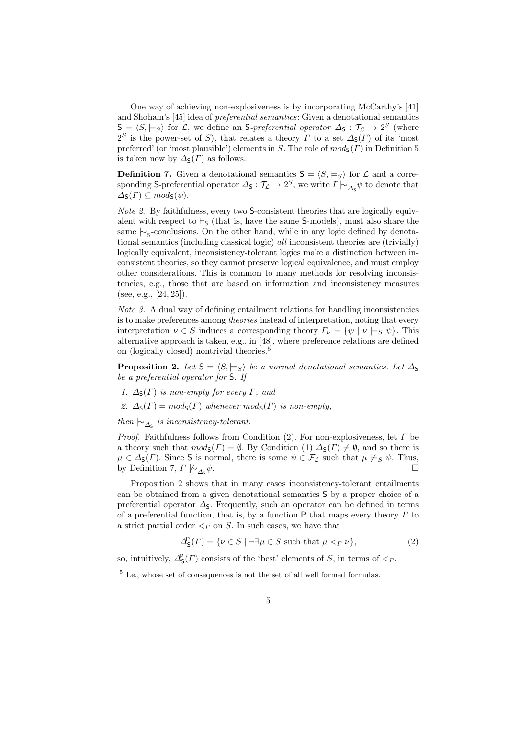One way of achieving non-explosiveness is by incorporating McCarthy's [41] and Shoham's [45] idea of *preferential semantics*: Given a denotational semantics  $S = \langle S, \models_S \rangle$  for *L*, we define an S-preferential operator  $\Delta_S : \mathcal{T}_L \to 2^S$  (where 2<sup>S</sup> is the power-set of *S*), that relates a theory *Γ* to a set  $\Delta$ <sub>S</sub>(*Γ*) of its 'most preferred' (or 'most plausible') elements in *S*. The role of  $mod_5(\Gamma)$  in Definition 5 is taken now by  $\Delta_{\mathsf{S}}(\Gamma)$  as follows.

**Definition 7.** Given a denotational semantics  $S = \langle S, \models_S \rangle$  for  $\mathcal{L}$  and a corresponding S-preferential operator  $\Delta_{\mathsf{S}} : \mathcal{T}_\mathcal{L} \to 2^S$ , we write  $\Gamma \vdash_{\Delta_{\mathsf{S}}} \psi$  to denote that  $\Delta$ <sub>S</sub> $(\Gamma) \subseteq mod_5(\psi)$ .

*Note 2.* By faithfulness, every two S-consistent theories that are logically equivalent with respect to  $\vdash_S$  (that is, have the same S-models), must also share the same *|*∼<sub>S</sub>-conclusions. On the other hand, while in any logic defined by denotational semantics (including classical logic) *all* inconsistent theories are (trivially) logically equivalent, inconsistency-tolerant logics make a distinction between inconsistent theories, so they cannot preserve logical equivalence, and must employ other considerations. This is common to many methods for resolving inconsistencies, e.g., those that are based on information and inconsistency measures (see, e.g., [24, 25]).

*Note 3.* A dual way of defining entailment relations for handling inconsistencies is to make preferences among *theories* instead of interpretation, noting that every interpretation  $\nu \in S$  induces a corresponding theory  $\Gamma_{\nu} = {\psi \mid \nu \models_S \psi}.$  This alternative approach is taken, e.g., in [48], where preference relations are defined on (logically closed) nontrivial theories.<sup>5</sup>

**Proposition 2.** *Let*  $S = \langle S, \models_S \rangle$  *be a normal denotational semantics. Let*  $\Delta_S$ *be a preferential operator for* S*. If*

- *1.*  $\Delta_S(\Gamma)$  *is non-empty for every*  $\Gamma$ *, and*
- 2.  $\Delta_{\mathsf{S}}(\Gamma) = \text{mod}_{\mathsf{S}}(\Gamma)$  *whenever*  $\text{mod}_{\mathsf{S}}(\Gamma)$  *is non-empty,*

 $then \sim_{\Delta_{\mathsf{S}}}$  *is inconsistency-tolerant.* 

*Proof.* Faithfulness follows from Condition (2). For non-explosiveness, let *Γ* be a theory such that  $mod_{S}(F) = \emptyset$ . By Condition (1)  $\Delta_{S}(F) \neq \emptyset$ , and so there is  $\mu \in \Delta_{\mathsf{S}}(\Gamma)$ . Since **S** is normal, there is some  $\psi \in \mathcal{F}_{\mathcal{L}}$  such that  $\mu \not\models_{S} \psi$ . Thus, by Definition 7,  $\Gamma \not\models_{\Lambda} \psi$ . by Definition 7,  $\Gamma \not\vdash_{\Delta_{\mathsf{S}}} \psi$ . *ψ*.

Proposition 2 shows that in many cases inconsistency-tolerant entailments can be obtained from a given denotational semantics S by a proper choice of a preferential operator  $\Delta$ <sub>S</sub>. Frequently, such an operator can be defined in terms of a preferential function, that is, by a function P that maps every theory *Γ* to a strict partial order *<<sup>Γ</sup>* on *S*. In such cases, we have that

$$
\Delta_S^{\mathsf{P}}(\Gamma) = \{ \nu \in S \mid \neg \exists \mu \in S \text{ such that } \mu <_{\Gamma} \nu \},\tag{2}
$$

so, intuitively,  $\Delta_S^{\mathsf{P}}(\Gamma)$  consists of the 'best' elements of *S*, in terms of  $\leq_\Gamma$ .

<sup>&</sup>lt;sup>5</sup> I.e., whose set of consequences is not the set of all well formed formulas.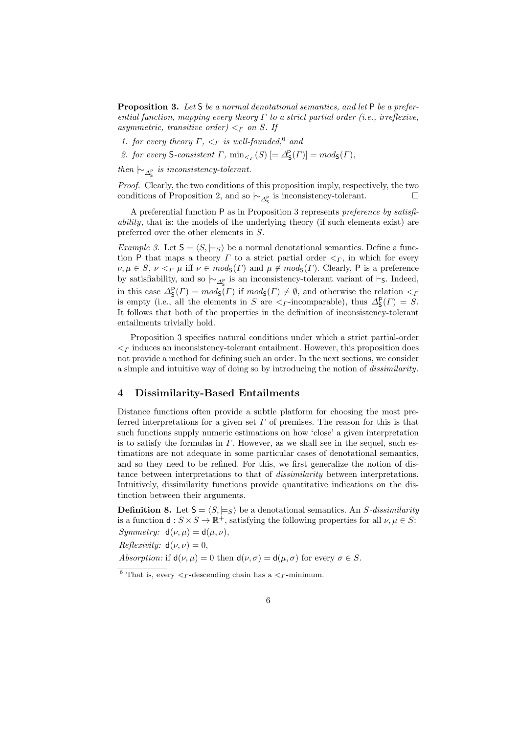**Proposition 3.** *Let* S *be a normal denotational semantics, and let* P *be a preferential function, mapping every theory Γ to a strict partial order (i.e., irreflexive, asymmetric, transitive order*)  $\lt_F$  *on S. If* 

- *1. for every theory Γ, <<sup>Γ</sup> is well-founded,*<sup>6</sup> *and*
- 2. *for every*  $S$ -*consistent*  $\Gamma$ *,*  $\min_{\leq r} (S)$   $[=\Delta_S^P(\Gamma)] = mod_S(\Gamma)$ *,*
- $then \, \, \sim_{\Delta_{\mathsf{S}}^{\mathsf{P}}} \,$  *is inconsistency-tolerant.*

*Proof.* Clearly, the two conditions of this proposition imply, respectively, the two conditions of Proposition 2, and so  $\sim_{\Delta_S^p}$  is inconsistency-tolerant.  $\Box$ 

A preferential function P as in Proposition 3 represents *preference by satisfiability*, that is: the models of the underlying theory (if such elements exist) are preferred over the other elements in *S*.

*Example 3.* Let  $S = \langle S, \models_S \rangle$  be a normal denotational semantics. Define a function P that maps a theory  $\Gamma$  to a strict partial order  $\leq_{\Gamma}$ , in which for every  $\nu, \mu \in S$ ,  $\nu <\Gamma$   $\mu$  iff  $\nu \in mod_S(\Gamma)$  and  $\mu \notin mod_S(\Gamma)$ . Clearly, P is a preference by satisfiability, and so  $\vdash_{\Delta_{\mathsf{S}}^{\mathsf{P}}}$  is an inconsistency-tolerant variant of *⊢*<sub>S</sub>. Indeed, in this case  $\Delta_S^P(\Gamma) = mod_S(\Gamma)$  if  $mod_S(\Gamma) \neq \emptyset$ , and otherwise the relation  $\lt_I$ is empty (i.e., all the elements in *S* are  $\lt$ <sub>*Γ*</sub>-incomparable), thus  $\Delta_S^P(\Gamma) = S$ . It follows that both of the properties in the definition of inconsistency-tolerant entailments trivially hold.

Proposition 3 specifies natural conditions under which a strict partial-order *<<sup>Γ</sup>* induces an inconsistency-tolerant entailment. However, this proposition does not provide a method for defining such an order. In the next sections, we consider a simple and intuitive way of doing so by introducing the notion of *dissimilarity*.

## **4 Dissimilarity-Based Entailments**

Distance functions often provide a subtle platform for choosing the most preferred interpretations for a given set  $\Gamma$  of premises. The reason for this is that such functions supply numeric estimations on how 'close' a given interpretation is to satisfy the formulas in *Γ*. However, as we shall see in the sequel, such estimations are not adequate in some particular cases of denotational semantics, and so they need to be refined. For this, we first generalize the notion of distance between interpretations to that of *dissimilarity* between interpretations. Intuitively, dissimilarity functions provide quantitative indications on the distinction between their arguments.

**Definition 8.** Let  $S = \langle S, \models_S \rangle$  be a denotational semantics. An *S*-dissimilarity is a function  $d: S \times S \to \mathbb{R}^+$ , satisfying the following properties for all  $\nu, \mu \in S$ : *Symmetry:*  $d(\nu, \mu) = d(\mu, \nu)$ ,

 $Reflexivity: d(\nu, \nu) = 0,$ 

*Absorption:* if  $d(\nu, \mu) = 0$  then  $d(\nu, \sigma) = d(\mu, \sigma)$  for every  $\sigma \in S$ .

<sup>&</sup>lt;sup>6</sup> That is, every  $\lt_F$ -descending chain has a  $\lt_F$ -minimum.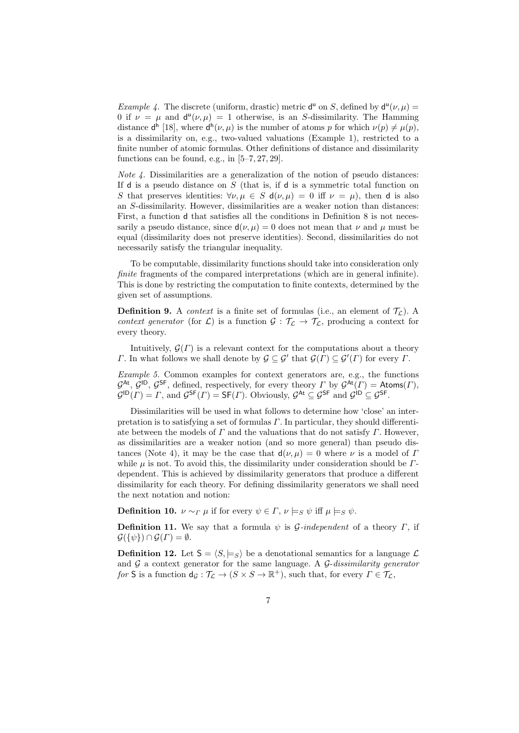*Example 4.* The discrete (uniform, drastic) metric  $d^{\mu}$  on *S*, defined by  $d^{\mu}(\nu,\mu)$  = 0 if  $\nu = \mu$  and  $d^{\mu}(\nu, \mu) = 1$  otherwise, is an *S*-dissimilarity. The Hamming distance  $d^h$  [18], where  $d^h(\nu, \mu)$  is the number of atoms *p* for which  $\nu(p) \neq \mu(p)$ , is a dissimilarity on, e.g., two-valued valuations (Example 1), restricted to a finite number of atomic formulas. Other definitions of distance and dissimilarity functions can be found, e.g., in  $[5-7, 27, 29]$ .

*Note 4.* Dissimilarities are a generalization of the notion of pseudo distances: If d is a pseudo distance on *S* (that is, if d is a symmetric total function on *S* that preserves identities:  $\forall \nu, \mu \in S$  d $(\nu, \mu) = 0$  iff  $\nu = \mu$ , then d is also an *S*-dissimilarity. However, dissimilarities are a weaker notion than distances: First, a function d that satisfies all the conditions in Definition 8 is not necessarily a pseudo distance, since  $d(\nu, \mu) = 0$  does not mean that  $\nu$  and  $\mu$  must be equal (dissimilarity does not preserve identities). Second, dissimilarities do not necessarily satisfy the triangular inequality.

To be computable, dissimilarity functions should take into consideration only *finite* fragments of the compared interpretations (which are in general infinite). This is done by restricting the computation to finite contexts, determined by the given set of assumptions.

**Definition 9.** A *context* is a finite set of formulas (i.e., an element of  $\mathcal{T}_c$ ). A *context generator* (for  $\mathcal{L}$ ) is a function  $\mathcal{G}: \mathcal{T}_\mathcal{L} \to \mathcal{T}_\mathcal{L}$ , producing a context for every theory.

Intuitively,  $\mathcal{G}(\Gamma)$  is a relevant context for the computations about a theory *Γ*. In what follows we shall denote by  $\mathcal{G} \subseteq \mathcal{G}'$  that  $\mathcal{G}(\Gamma) \subseteq \mathcal{G}'(\Gamma)$  for every *Γ*.

*Example 5.* Common examples for context generators are, e.g., the functions  $G^{\text{At}}$ ,  $G^{\text{ID}}$ ,  $G^{\text{SF}}$ , defined, respectively, for every theory *Γ* by  $G^{\text{At}}(F) = \text{Atoms}(F)$ ,  $\mathcal{G}^{\mathsf{ID}}(F) = F$ , and  $\mathcal{G}^{\mathsf{SF}}(F) = \mathsf{SF}(F)$ . Obviously,  $\mathcal{G}^{\mathsf{At}} \subseteq \mathcal{G}^{\mathsf{SF}}$  and  $\mathcal{G}^{\mathsf{ID}} \subseteq \mathcal{G}^{\mathsf{SF}}$ .

Dissimilarities will be used in what follows to determine how 'close' an interpretation is to satisfying a set of formulas *Γ*. In particular, they should differentiate between the models of *Γ* and the valuations that do not satisfy *Γ*. However, as dissimilarities are a weaker notion (and so more general) than pseudo distances (Note 4), it may be the case that  $d(\nu, \mu) = 0$  where  $\nu$  is a model of *Γ* while  $\mu$  is not. To avoid this, the dissimilarity under consideration should be  $\Gamma$ dependent. This is achieved by dissimilarity generators that produce a different dissimilarity for each theory. For defining dissimilarity generators we shall need the next notation and notion:

**Definition 10.**  $\nu \sim_{\Gamma} \mu$  if for every  $\psi \in \Gamma$ ,  $\nu \models_S \psi$  iff  $\mu \models_S \psi$ .

**Definition 11.** We say that a formula  $\psi$  is *G-independent* of a theory *Γ*, if  $\mathcal{G}(\{\psi\}) \cap \mathcal{G}(\Gamma) = \emptyset.$ 

**Definition 12.** Let  $S = \langle S, \models_S \rangle$  be a denotational semantics for a language  $\mathcal{L}$ and *G* a context generator for the same language. A *G*-*dissimilarity generator for* **S** is a function  $d_g: \mathcal{T}_\mathcal{L} \to (S \times S \to \mathbb{R}^+)$ , such that, for every  $\Gamma \in \mathcal{T}_\mathcal{L}$ ,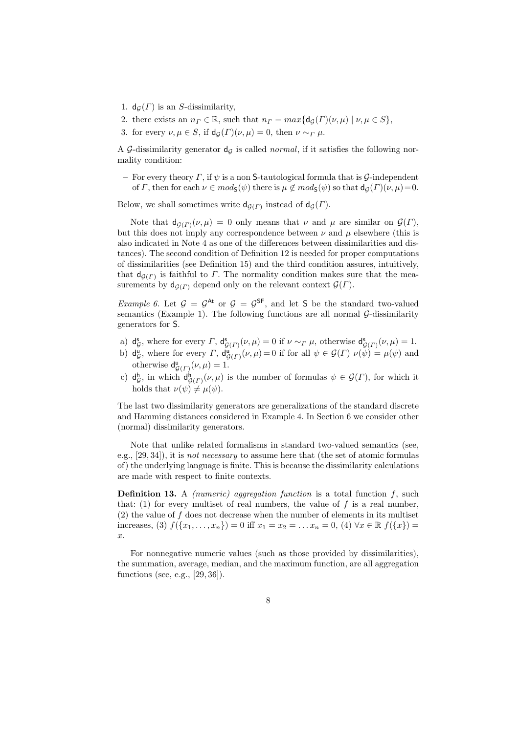- 1.  $d_G(\Gamma)$  is an *S*-dissimilarity,
- 2. there exists an  $n_F \in \mathbb{R}$ , such that  $n_F = max\{d_G(\Gamma)(\nu, \mu) \mid \nu, \mu \in S\}$ ,
- 3. for every  $\nu, \mu \in S$ , if  $d_G(\Gamma)(\nu, \mu) = 0$ , then  $\nu \sim_{\Gamma} \mu$ .

A G-dissimilarity generator  $d_G$  is called *normal*, if it satisfies the following normality condition:

**–** For every theory *Γ*, if *ψ* is a non S-tautological formula that is *G*-independent of *Γ*, then for each  $\nu \in mod_S(\psi)$  there is  $\mu \notin mod_S(\psi)$  so that  $d_G(\Gamma)(\nu, \mu)=0$ .

Below, we shall sometimes write  $d_{\mathcal{G}(\Gamma)}$  instead of  $d_{\mathcal{G}}(\Gamma)$ .

Note that  $d_{\mathcal{G}(\Gamma)}(\nu,\mu) = 0$  only means that  $\nu$  and  $\mu$  are similar on  $\mathcal{G}(\Gamma)$ , but this does not imply any correspondence between  $\nu$  and  $\mu$  elsewhere (this is also indicated in Note 4 as one of the differences between dissimilarities and distances). The second condition of Definition 12 is needed for proper computations of dissimilarities (see Definition 15) and the third condition assures, intuitively, that  $d_{\mathcal{G}(\Gamma)}$  is faithful to *Γ*. The normality condition makes sure that the measurements by  $d_{\mathcal{G}(F)}$  depend only on the relevant context  $\mathcal{G}(F)$ .

*Example 6.* Let  $G = G^{\text{At}}$  or  $G = G^{\text{SF}}$ , and let S be the standard two-valued semantics (Example 1). The following functions are all normal *G*-dissimilarity generators for S.

- $a)$  d<sup>s</sup> *G*, where for every *Γ*,  $d_{G(\Gamma)}^s(\nu,\mu) = 0$  if  $\nu \sim_{\Gamma} \mu$ , otherwise  $d_{G(\Gamma)}^s(\nu,\mu) = 1$ .
- b)  $d_c^u$  $G$ , where for every *Γ*,  $d_{\mathcal{G}(F)}^{\mathbf{u}}(\nu,\mu) = 0$  if for all  $\psi \in \mathcal{G}(F)$   $\nu(\psi) = \mu(\psi)$  and otherwise  $d_{\mathcal{G}(\Gamma)}^{\mathsf{u}}(\nu,\mu) = 1.$
- $c)$  d<sup>h</sup>  $G$ , in which  $d_{\mathcal{G}(\Gamma)}^{\mathsf{h}}(\nu,\mu)$  is the number of formulas  $\psi \in \mathcal{G}(\Gamma)$ , for which it holds that  $\nu(\psi) \neq \mu(\psi)$ .

The last two dissimilarity generators are generalizations of the standard discrete and Hamming distances considered in Example 4. In Section 6 we consider other (normal) dissimilarity generators.

Note that unlike related formalisms in standard two-valued semantics (see, e.g., [29, 34]), it is *not necessary* to assume here that (the set of atomic formulas of) the underlying language is finite. This is because the dissimilarity calculations are made with respect to finite contexts.

**Definition 13.** A *(numeric) aggregation function* is a total function *f*, such that:  $(1)$  for every multiset of real numbers, the value of  $f$  is a real number, (2) the value of *f* does not decrease when the number of elements in its multiset increases, (3)  $f(\{x_1, \ldots, x_n\}) = 0$  iff  $x_1 = x_2 = \ldots x_n = 0$ , (4)  $\forall x \in \mathbb{R}$   $f(\{x\}) =$ *x*.

For nonnegative numeric values (such as those provided by dissimilarities), the summation, average, median, and the maximum function, are all aggregation functions (see, e.g., [29, 36]).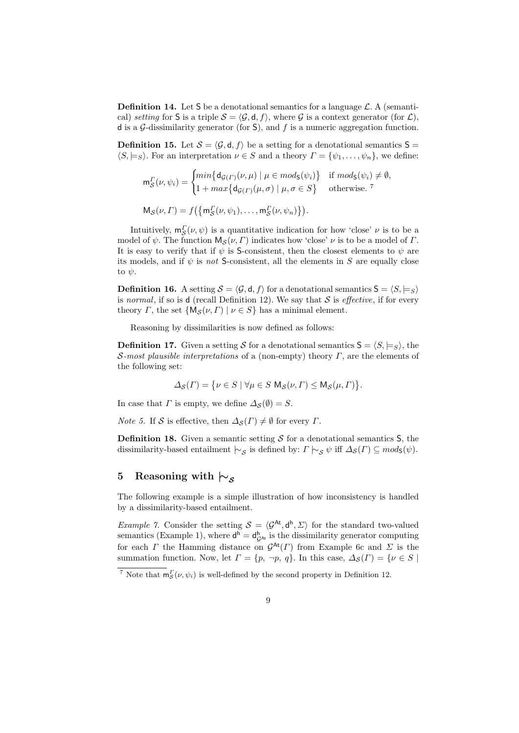**Definition 14.** Let S be a denotational semantics for a language  $\mathcal{L}$ . A (semantical) *setting* for S is a triple  $S = \langle G, d, f \rangle$ , where G is a context generator (for  $\mathcal{L}$ ), d is a *G*-dissimilarity generator (for S), and *f* is a numeric aggregation function.

**Definition 15.** Let  $S = \langle \mathcal{G}, d, f \rangle$  be a setting for a denotational semantics  $S =$  $\langle S, \models_S \rangle$ . For an interpretation  $\nu \in S$  and a theory  $\Gamma = {\psi_1, \dots, \psi_n}$ , we define:

$$
\mathbf{m}_{\mathcal{S}}^{\Gamma}(\nu,\psi_{i}) = \begin{cases} \min\{d_{\mathcal{G}(\Gamma)}(\nu,\mu) \mid \mu \in \text{mod}_{\mathsf{S}}(\psi_{i})\} & \text{if } \text{mod}_{\mathsf{S}}(\psi_{i}) \neq \emptyset, \\ 1 + \max\{d_{\mathcal{G}(\Gamma)}(\mu,\sigma) \mid \mu,\sigma \in S\} & \text{otherwise.} \end{cases}
$$
\n
$$
\mathbf{M}_{\mathcal{S}}(\nu,\Gamma) = f\big(\{\mathbf{m}_{\mathcal{S}}^{\Gamma}(\nu,\psi_{1}),\ldots,\mathbf{m}_{\mathcal{S}}^{\Gamma}(\nu,\psi_{n})\}\big).
$$

Intuitively,  $m_S^{\Gamma}(\nu, \psi)$  is a quantitative indication for how 'close'  $\nu$  is to be a *S* model of *ψ*. The function  $M_S(\nu, \Gamma)$  indicates how 'close' *ν* is to be a model of *Γ*. It is easy to verify that if  $\psi$  is S-consistent, then the closest elements to  $\psi$  are its models, and if  $\psi$  is *not* S-consistent, all the elements in *S* are equally close to *ψ*.

**Definition 16.** A setting  $S = \langle G, \mathsf{d}, f \rangle$  for a denotational semantics  $S = \langle S, \models_S \rangle$ is *normal*, if so is **d** (recall Definition 12). We say that  $S$  is *effective*, if for every theory *Γ*, the set  $\{M_S(\nu, \Gamma) | \nu \in S\}$  has a minimal element.

Reasoning by dissimilarities is now defined as follows:

**Definition 17.** Given a setting *S* for a denotational semantics  $S = \langle S, \models_S \rangle$ , the *S-most plausible interpretations* of a (non-empty) theory *Γ*, are the elements of the following set:

$$
\varDelta_{\mathcal{S}}(\varGamma)=\big\{\nu\in S\mid \forall\mu\in S\ {\rm M}_{\mathcal{S}}(\nu,\varGamma)\leq {\rm M}_{\mathcal{S}}(\mu,\varGamma)\big\}.
$$

In case that *Γ* is empty, we define  $\Delta_{\mathcal{S}}(\emptyset) = S$ .

*Note 5.* If *S* is effective, then  $\Delta_{\mathcal{S}}(\Gamma) \neq \emptyset$  for every  $\Gamma$ .

**Definition 18.** Given a semantic setting  $S$  for a denotational semantics  $S$ , the dissimilarity-based entailment  $\mid \sim_S$  is defined by:  $\Gamma \mid \sim_S \psi$  iff  $\Delta_S(\Gamma) \subseteq mod_S(\psi)$ .

# **5 Reasoning with** *|∼<sup>S</sup>*

The following example is a simple illustration of how inconsistency is handled by a dissimilarity-based entailment.

*Example 7.* Consider the setting  $S = \langle G^{At}, d^{h}, \Sigma \rangle$  for the standard two-valued semantics (Example 1), where  $d^h = d_{\mathcal{G}^{(h)}}^h$  is the dissimilarity generator computing for each *Γ* the Hamming distance on  $G^{\text{At}}(F)$  from Example 6c and *Σ* is the summation function. Now, let  $\Gamma = \{p, \neg p, q\}$ . In this case,  $\Delta_{\mathcal{S}}(\Gamma) = \{v \in S \mid$ 

<sup>&</sup>lt;sup>7</sup> Note that  $m_S^{\Gamma}(\nu, \psi_i)$  is well-defined by the second property in Definition 12.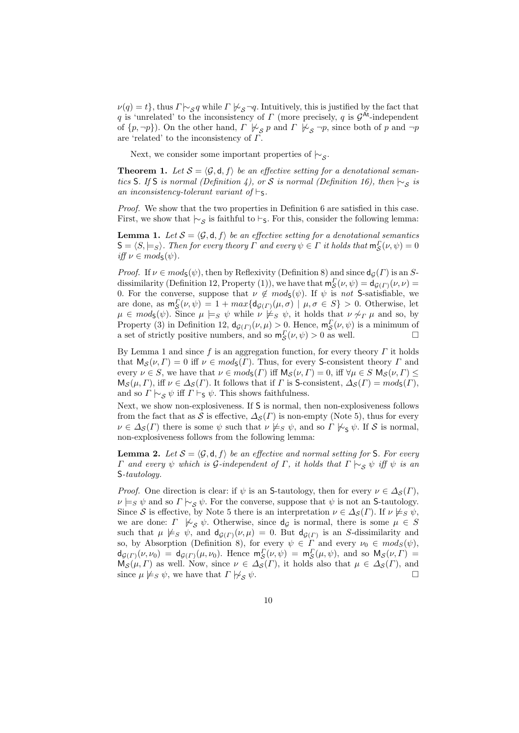$\nu(q) = t$ , thus  $\Gamma \models_{\mathcal{S}} q$  while  $\Gamma \not\models_{\mathcal{S}} \neg q$ . Intuitively, this is justified by the fact that *q* is 'unrelated' to the inconsistency of *Γ* (more precisely, *q* is *G* At-independent of  $\{p, \neg p\}$ ). On the other hand,  $\Gamma \not\vdash_{\mathcal{S}} p$  and  $\Gamma \not\vdash_{\mathcal{S}} \neg p$ , since both of  $p$  and  $\neg p$ are 'related' to the inconsistency of *Γ*.

Next, we consider some important properties of *|∼<sup>S</sup>* .

**Theorem 1.** Let  $S = \langle \mathcal{G}, \mathbf{d}, f \rangle$  be an effective setting for a denotational seman*tics* S*.* If S *is normal (Definition 4), or S is normal (Definition 16), then*  $\sim_S$  *is an inconsistency-tolerant variant of*  $\vdash$ s.

*Proof.* We show that the two properties in Definition 6 are satisfied in this case. First, we show that  $\sim$ <sub>*S*</sub> is faithful to *⊢*<sub>S</sub>. For this, consider the following lemma:

**Lemma 1.** Let  $S = \langle \mathcal{G}, \mathsf{d}, f \rangle$  be an effective setting for a denotational semantics  $S = \langle S, \models_S \rangle$ *. Then for every theory*  $\Gamma$  *and every*  $\psi \in \Gamma$  *it holds that*  $m_S^{\Gamma}(\nu, \psi) = 0$  $iff \nu \in mod_{\mathsf{S}}(\psi)$ .

*Proof.* If  $\nu \in mod_5(\psi)$ , then by Reflexivity (Definition 8) and since  $d_G(\Gamma)$  is an *S*dissimilarity (Definition 12, Property (1)), we have that  $m_S^{\Gamma}(\nu, \psi) = d_{\mathcal{G}(\Gamma)}(\nu, \nu)$ **S**8. For the converse, suppose that *ν*  $\notin \text{mods}(\psi)$ . If *ψ* is *not* S-satisfiable, we are done, as  $m_S^{\Gamma}(\nu, \psi) = 1 + max\{d_{\mathcal{G}(\Gamma)}(\mu, \sigma) \mid \mu, \sigma \in S\} > 0$ . Otherwise, let  $\mu \in \text{mods}(\psi)$ . Since  $\mu \models_S \psi$  while  $\nu \not\models_S \psi$ , it holds that  $\nu \not\sim_T \mu$  and so, by Property (3) in Definition 12,  $d_{\mathcal{G}(\Gamma)}(\nu,\mu) > 0$ . Hence,  $m_S^{\Gamma}(\nu,\psi)$  is a minimum of a set of strictly positive numbers, and so  $m_S^{\Gamma}(\nu, \psi) > 0$  as well.

By Lemma 1 and since *f* is an aggregation function, for every theory *Γ* it holds that  $M_S(\nu, \Gamma) = 0$  iff  $\nu \in mod_S(\Gamma)$ . Thus, for every S-consistent theory  $\Gamma$  and every  $\nu \in S$ , we have that  $\nu \in mod_S(\Gamma)$  iff  $M_S(\nu, \Gamma) = 0$ , iff  $\forall \mu \in S \ M_S(\nu, \Gamma) \leq$  $M_S(\mu, \Gamma)$ , iff  $\nu \in \Delta_S(\Gamma)$ . It follows that if  $\Gamma$  is S-consistent,  $\Delta_S(\Gamma) = mod_S(\Gamma)$ , and so  $\Gamma \vdash_{\mathcal{S}} \psi$  iff  $\Gamma \vdash_{\mathcal{S}} \psi$ . This shows faithfulness.

Next, we show non-explosiveness. If S is normal, then non-explosiveness follows from the fact that as *S* is effective,  $\Delta_{\mathcal{S}}(\Gamma)$  is non-empty (Note 5), thus for every  $\nu \in \Delta_{\mathcal{S}}(\Gamma)$  there is some  $\psi$  such that  $\nu \not\models_{S} \psi$ , and so  $\Gamma \not\models_{\mathsf{S}} \psi$ . If *S* is normal, non-explosiveness follows from the following lemma:

**Lemma 2.** Let  $S = \langle \mathcal{G}, \mathsf{d}, f \rangle$  be an effective and normal setting for S. For every *Γ and every*  $ψ$  *which is*  $G$ *-independent of*  $Γ$ *, it holds that*  $Γ$   $\vdash$   $\cdot$ *S*  $ψ$  *iff*  $ψ$  *is an* S*-tautology.*

*Proof.* One direction is clear: if  $\psi$  is an S-tautology, then for every  $\nu \in \Delta_S(\Gamma)$ ,  $\nu \models_S \psi$  and so  $\Gamma \models_S \psi$ . For the converse, suppose that  $\psi$  is not an S-tautology. Since *S* is effective, by Note 5 there is an interpretation  $\nu \in \Delta_{\mathcal{S}}(\Gamma)$ . If  $\nu \not\models_{S} \psi$ , we are done: *Γ*  $\forall z \ \psi$ . Otherwise, since  $d_g$  is normal, there is some  $\mu \in S$ such that  $\mu \not\models s \psi$ , and  $d_{\mathcal{G}(\Gamma)}(\nu,\mu) = 0$ . But  $d_{\mathcal{G}(\Gamma)}$  is an *S*-dissimilarity and so, by Absorption (Definition 8), for every  $\psi \in \Gamma$  and every  $\nu_0 \in mod_S(\psi)$ ,  $d_{\mathcal{G}(F)}(\nu,\nu_0) = d_{\mathcal{G}(F)}(\mu,\nu_0)$ . Hence  $m_S^F(\nu,\psi) = m_S^F(\mu,\psi)$ , and so  $M_S(\nu,\Gamma) =$  $\mathcal{S}(H, V)$  as well. Now, since  $\nu \in \Delta_{\mathcal{S}}(F)$ , it holds also that  $\mu \in \Delta_{\mathcal{S}}(F)$ , and  $\mathcal{S}(H, V)$  as well. Now, since  $\nu \in \Delta_{\mathcal{S}}(F)$ , and since  $\mu \not\models s \psi$ , we have that  $\Gamma \not\models s \psi$ .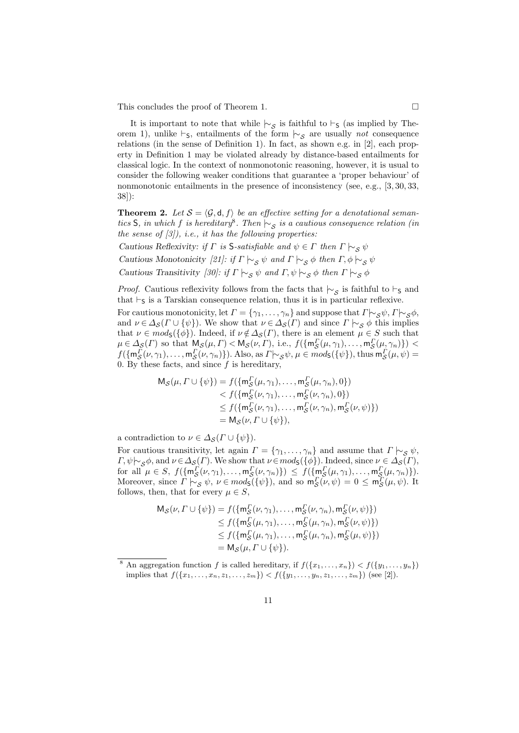This concludes the proof of Theorem 1.

It is important to note that while  $\sim$ <sup>S</sup> is faithful to  $\vdash$ S (as implied by Theorem 1), unlike *⊢*<sub>S</sub>, entailments of the form  $|~\rangle_{\mathcal{S}}$  are usually *not* consequence relations (in the sense of Definition 1). In fact, as shown e.g. in [2], each property in Definition 1 may be violated already by distance-based entailments for classical logic. In the context of nonmonotonic reasoning, however, it is usual to consider the following weaker conditions that guarantee a 'proper behaviour' of nonmonotonic entailments in the presence of inconsistency (see, e.g., [3, 30, 33, 38]):

**Theorem 2.** Let  $S = \langle G, d, f \rangle$  be an effective setting for a denotational seman*tics* S, *in which f is hereditary*<sup>8</sup>. Then  $\vdash$  *s is a cautious consequence relation (in the sense of [3]), i.e., it has the following properties:*

*Cautious Reflexivity: if*  $\Gamma$  *is* S-*satisfiable and*  $\psi \in \Gamma$  *then*  $\Gamma \models_S \psi$ 

*Cautious Monotonicity* [21]: if  $\Gamma \vdash_{\mathcal{S}} \psi$  and  $\Gamma \vdash_{\mathcal{S}} \phi$  then  $\Gamma, \phi \vdash_{\mathcal{S}} \psi$ 

*Cautious Transitivity* [30]: if  $\Gamma \vdash_{\mathcal{S}} \psi$  and  $\Gamma, \psi \vdash_{\mathcal{S}} \phi$  then  $\Gamma \vdash_{\mathcal{S}} \phi$ 

*Proof.* Cautious reflexivity follows from the facts that  $\sim$ <sub>*S*</sub> is faithful to *⊦*<sub>S</sub> and that *⊦*<sub>S</sub> is a Tarskian consequence relation, thus it is in particular reflexive.

For cautious monotonicity, let  $\Gamma = {\gamma_1, \ldots, \gamma_n}$  and suppose that  $\Gamma \sim_{\mathcal{S}} \psi, \Gamma \sim_{\mathcal{S}} \phi$ , and  $\nu \in \Delta_{\mathcal{S}}(F \cup \{\psi\})$ . We show that  $\nu \in \Delta_{\mathcal{S}}(F)$  and since  $\Gamma \vdash_{\mathcal{S}} \phi$  this implies that  $\nu \in mod_5({\phi})$ . Indeed, if  $\nu \notin \Delta_S(\Gamma)$ , there is an element  $\mu \in S$  such that  $\mu \in \Delta_{\mathcal{S}}(\Gamma)$  so that  $M_{\mathcal{S}}(\mu, \Gamma) < M_{\mathcal{S}}(\nu, \Gamma)$ , i.e.,  $f(\{\mathfrak{m}_{\mathcal{S}}^{\Gamma}(\mu, \gamma_1), \ldots, \mathfrak{m}_{\mathcal{S}}^{\Gamma}(\mu, \gamma_n)\})$  $f(\{m_S^{\Gamma}(\nu, \gamma_1), \ldots, m_S^{\Gamma}(\nu, \gamma_n)\})$ . Also, as  $\Gamma \sim_S \psi$ ,  $\mu \in mod_S(\{\psi\})$ , thus  $m_S^{\Gamma}(\mu, \psi) =$ 0. By these facts, and since  $f$  is hereditary,

$$
\begin{aligned} \mathsf{M}_{\mathcal{S}}(\mu, \Gamma \cup \{\psi\}) &= f(\{\mathsf{m}_{\mathcal{S}}^{\Gamma}(\mu, \gamma_1), \dots, \mathsf{m}_{\mathcal{S}}^{\Gamma}(\mu, \gamma_n), 0\}) \\ &< f(\{\mathsf{m}_{\mathcal{S}}^{\Gamma}(\nu, \gamma_1), \dots, \mathsf{m}_{\mathcal{S}}^{\Gamma}(\nu, \gamma_n), 0\}) \\ &\leq f(\{\mathsf{m}_{\mathcal{S}}^{\Gamma}(\nu, \gamma_1), \dots, \mathsf{m}_{\mathcal{S}}^{\Gamma}(\nu, \gamma_n), \mathsf{m}_{\mathcal{S}}^{\Gamma}(\nu, \psi)\}) \\ &= \mathsf{M}_{\mathcal{S}}(\nu, \Gamma \cup \{\psi\}), \end{aligned}
$$

a contradiction to  $\nu \in \Delta_{\mathcal{S}}(\Gamma \cup \{\psi\})$ .

For cautious transitivity, let again  $\Gamma = \{\gamma_1, \ldots, \gamma_n\}$  and assume that  $\Gamma \models_S \psi$ ,  $F, \psi \sim_{\mathcal{S}} \phi$ , and  $\nu \in \Delta_{\mathcal{S}}(F)$ . We show that  $\nu \in mod_{\mathcal{S}}(\{\phi\})$ . Indeed, since  $\nu \in \Delta_{\mathcal{S}}(F)$ , for all  $\mu \in S$ ,  $f(\{\mathfrak{m}_S^{\Gamma}(\nu, \gamma_1), \ldots, \mathfrak{m}_S^{\Gamma}(\nu, \gamma_n)\}) \leq f(\{\mathfrak{m}_S^{\Gamma}(\mu, \gamma_1), \ldots, \mathfrak{m}_S^{\Gamma}(\mu, \gamma_n)\}).$ Moreover, since  $\Gamma \models_S \psi$ ,  $\nu \in mod_S(\{\psi\})$ , and so  $m_S^F(\nu, \psi) = 0 \le m_S^F(\mu, \psi)$ . It follows, then, that for every  $\mu \in S$ ,

$$
M_{\mathcal{S}}(\nu, \Gamma \cup \{\psi\}) = f(\{m_S^{\Gamma}(\nu, \gamma_1), \dots, m_S^{\Gamma}(\nu, \gamma_n), m_S^{\Gamma}(\nu, \psi)\})
$$
  
\n
$$
\leq f(\{m_S^{\Gamma}(\mu, \gamma_1), \dots, m_S^{\Gamma}(\mu, \gamma_n), m_S^{\Gamma}(\nu, \psi)\})
$$
  
\n
$$
\leq f(\{m_S^{\Gamma}(\mu, \gamma_1), \dots, m_S^{\Gamma}(\mu, \gamma_n), m_S^{\Gamma}(\mu, \psi)\})
$$
  
\n
$$
= M_{\mathcal{S}}(\mu, \Gamma \cup \{\psi\}).
$$

<sup>&</sup>lt;sup>8</sup> An aggregation function *f* is called hereditary, if  $f(\lbrace x_1, \ldots, x_n \rbrace) < f(\lbrace y_1, \ldots, y_n \rbrace)$ implies that  $f(\{x_1, \ldots, x_n, z_1, \ldots, z_m\}) \leq f(\{y_1, \ldots, y_n, z_1, \ldots, z_m\})$  (see [2]).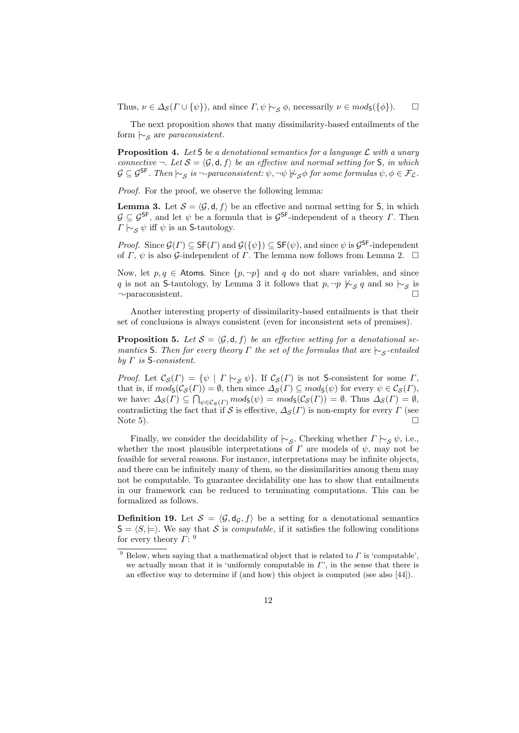Thus,  $\nu \in \Delta_{\mathcal{S}}(\Gamma \cup \{\psi\})$ , and since  $\Gamma, \psi \models_{\mathcal{S}} \phi$ , necessarily  $\nu \in mod_{\mathsf{S}}(\{\phi\})$ .  $\Box$ 

The next proposition shows that many dissimilarity-based entailments of the form *|∼<sup>S</sup>* are *paraconsistent*.

**Proposition 4.** *Let* S *be a denotational semantics for a language L with a unary connective*  $\neg$ *. Let*  $S = \langle \mathcal{G}, \mathsf{d}, f \rangle$  *be an effective and normal setting for* S*, in which*  $\mathcal{G} \subseteq \mathcal{G}^{\mathsf{SF}}$ . Then  $\mathcal{L}_{\mathcal{S}}$  is  $\neg$ -paraconsistent:  $\psi$ ,  $\neg \psi \not\models_{\mathcal{S}} \phi$  for some formulas  $\psi, \phi \in \mathcal{F}_{\mathcal{L}}$ .

*Proof.* For the proof, we observe the following lemma:

**Lemma 3.** Let  $S = \langle \mathcal{G}, d, f \rangle$  be an effective and normal setting for S, in which *G* ⊆ *G*<sup>SF</sup>, and let *ψ* be a formula that is *G*<sup>SF</sup>-independent of a theory *Γ*. Then *Γ*  $\sim$  *ς*  $\psi$  iff  $\psi$  is an S-tautology.

*Proof.* Since  $\mathcal{G}(\Gamma) \subseteq \mathsf{SF}(\Gamma)$  and  $\mathcal{G}(\{\psi\}) \subseteq \mathsf{SF}(\psi)$ , and since  $\psi$  is  $\mathcal{G}^{\mathsf{SF}}$ -independent of  $\Gamma$ ,  $\psi$  is also  $\mathcal{G}\text{-independent of }\Gamma$ . The lemma now follows from Lemma 2.  $\Box$ 

Now, let  $p, q \in$  Atoms. Since  $\{p, \neg p\}$  and q do not share variables, and since *q* is not an S-tautology, by Lemma 3 it follows that  $p, \neg p \not\vdash_{\mathcal{S}} q$  and so  $\vdash_{\mathcal{S}}$  is *¬*-paraconsistent.

Another interesting property of dissimilarity-based entailments is that their set of conclusions is always consistent (even for inconsistent sets of premises).

**Proposition 5.** Let  $S = \langle \mathcal{G}, \mathsf{d}, f \rangle$  be an effective setting for a denotational se*mantics* S*. Then for every theory Γ the set of the formulas that are*  $\mid \sim$ <sub>*S*</sub>-entailed *by Γ is* S*-consistent.*

*Proof.* Let  $\mathcal{C}_{\mathcal{S}}(\Gamma) = \{ \psi \mid \Gamma \mid \neg_{\mathcal{S}} \psi \}.$  If  $\mathcal{C}_{\mathcal{S}}(\Gamma)$  is not S-consistent for some  $\Gamma$ , that is, if  $mod_{\mathsf{S}}(\mathcal{C}_{\mathcal{S}}(\Gamma)) = \emptyset$ , then since  $\Delta_{\mathcal{S}}(\Gamma) \subseteq mod_{\mathsf{S}}(\psi)$  for every  $\psi \in \mathcal{C}_{\mathcal{S}}(\Gamma)$ , we have:  $\Delta_{\mathcal{S}}(F) \subseteq \bigcap_{\psi \in \mathcal{C}_{\mathcal{S}}(F)} \text{mod}_{\mathcal{S}}(\psi) = \text{mod}_{\mathcal{S}}(\mathcal{C}_{\mathcal{S}}(F)) = \emptyset$ . Thus  $\Delta_{\mathcal{S}}(F) = \emptyset$ , contradicting the fact that if *S* is effective,  $\Delta_{\mathcal{S}}(\Gamma)$  is non-empty for every  $\Gamma$  (see Note 5). Note 5).

Finally, we consider the decidability of  $\sim_S$ . Checking whether  $\Gamma \sim_S \psi$ , i.e., whether the most plausible interpretations of  $\Gamma$  are models of  $\psi$ , may not be feasible for several reasons. For instance, interpretations may be infinite objects, and there can be infinitely many of them, so the dissimilarities among them may not be computable. To guarantee decidability one has to show that entailments in our framework can be reduced to terminating computations. This can be formalized as follows.

**Definition 19.** Let  $S = \langle \mathcal{G}, d_{\mathcal{G}}, f \rangle$  be a setting for a denotational semantics  $S = \langle S, \models \rangle$ . We say that *S* is *computable*, if it satisfies the following conditions for every theory *Γ*: 9

<sup>9</sup> Below, when saying that a mathematical object that is related to *Γ* is 'computable', we actually mean that it is 'uniformly computable in *Γ*', in the sense that there is an effective way to determine if (and how) this object is computed (see also [44]).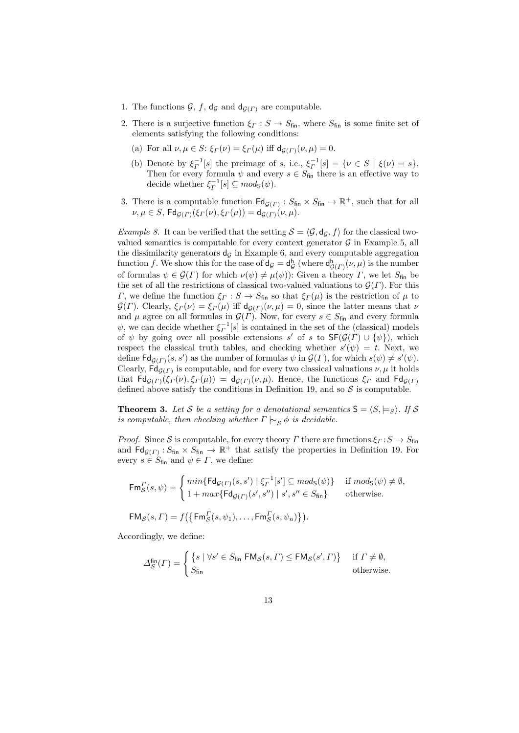- 1. The functions  $\mathcal{G}, f, d_{\mathcal{G}}$  and  $d_{\mathcal{G}(\Gamma)}$  are computable.
- 2. There is a surjective function  $\xi \to S_{\text{fin}}$ , where  $S_{\text{fin}}$  is some finite set of elements satisfying the following conditions:
	- (a) For all  $\nu, \mu \in S$ :  $\xi_{\Gamma}(\nu) = \xi_{\Gamma}(\mu)$  iff  $d_{G(\Gamma)}(\nu, \mu) = 0$ .
	- (b) Denote by  $\xi_{\Gamma}^{-1}[s]$  the preimage of *s*, i.e.,  $\xi_{\Gamma}^{-1}[s] = \{ \nu \in S \mid \xi(\nu) = s \}.$ Then for every formula  $\psi$  and every  $s \in S_{fin}$  there is an effective way to decide whether  $\xi_{\Gamma}^{-1}[s] \subseteq mod_{\mathsf{S}}(\psi)$ .
- 3. There is a computable function  $\text{Fd}_{\mathcal{G}(F)} : S_{\text{fin}} \times S_{\text{fin}} \to \mathbb{R}^+$ , such that for all  $\nu, \mu \in S$ ,  $\mathsf{Fd}_{\mathcal{G}(\Gamma)}(\xi_{\Gamma}(\nu), \xi_{\Gamma}(\mu)) = \mathsf{d}_{\mathcal{G}(\Gamma)}(\nu, \mu)$ .

*Example 8.* It can be verified that the setting  $S = \langle G, d_g, f \rangle$  for the classical twovalued semantics is computable for every context generator  $G$  in Example 5, all the dissimilarity generators  $d<sub>G</sub>$  in Example 6, and every computable aggregation function *f*. We show this for the case of  $d_g = d_g$  $\mathsf{G}^{\mathsf{h}}_{\mathcal{G}}(\mathcal{F})\left(\nu,\mu\right)$  is the number of formulas  $\psi \in \mathcal{G}(\Gamma)$  for which  $\nu(\psi) \neq \mu(\psi)$ : Given a theory *Γ*, we let  $S_{fin}$  be the set of all the restrictions of classical two-valued valuations to  $\mathcal{G}(\Gamma)$ . For this *Γ*, we define the function  $\xi$ <sup>*Γ*</sup> : *S*  $\rightarrow$  *S*<sub>fin</sub> so that  $\xi$ <sup>*Γ*</sup>(*µ*) is the restriction of *µ* to *G*(*Γ*). Clearly,  $\xi$ <sup>*Γ*</sup>( $\nu$ ) =  $\xi$ <sup>*Γ*</sup>( $\mu$ ) iff  $d$ <sub>*G*(*Γ*)</sub>( $\nu$ ,  $\mu$ ) = 0, since the latter means that  $\nu$ and  $\mu$  agree on all formulas in  $\mathcal{G}(\Gamma)$ . Now, for every  $s \in S_{fin}$  and every formula  $\psi$ , we can decide whether  $\xi_{\Gamma}^{-1}[s]$  is contained in the set of the (classical) models of  $\psi$  by going over all possible extensions *s'* of *s* to  $\mathsf{SF}(\mathcal{G}(\Gamma) \cup \{\psi\})$ , which respect the classical truth tables, and checking whether  $s'(\psi) = t$ . Next, we define  $\textsf{Fd}_{\mathcal{G}(F)}(s, s')$  as the number of formulas  $\psi$  in  $\mathcal{G}(F)$ , for which  $s(\psi) \neq s'(\psi)$ . Clearly,  $\mathsf{Fd}_{\mathcal{G}(F)}$  is computable, and for every two classical valuations  $\nu, \mu$  it holds that  $\text{Fd}_{\mathcal{G}(\Gamma)}(\xi_{\Gamma}(\nu),\xi_{\Gamma}(\mu)) = \text{d}_{\mathcal{G}(\Gamma)}(\nu,\mu)$ . Hence, the functions  $\xi_{\Gamma}$  and  $\text{Fd}_{\mathcal{G}(\Gamma)}$ defined above satisfy the conditions in Definition 19, and so  $S$  is computable.

**Theorem 3.** Let *S* be a setting for a denotational semantics  $S = \langle S, \models_S \rangle$ . If *S is computable, then checking whether*  $\Gamma \nvert \sim_{\mathcal{S}} \phi$  *is decidable.* 

*Proof.* Since *S* is computable, for every theory *Γ* there are functions  $\xi$ *Γ* : *S*  $\rightarrow$  *S*<sub>fin</sub> and  $\text{Fd}_{\mathcal{G}(F)}$ :  $S_{\text{fin}} \times S_{\text{fin}} \to \mathbb{R}^+$  that satisfy the properties in Definition 19. For every  $s \in S_{fin}$  and  $\psi \in \Gamma$ , we define:

$$
\mathsf{Fm}_\mathcal{S}^{\Gamma}(s,\psi) = \begin{cases} \min\{\mathsf{Fd}_{\mathcal{G}(\Gamma)}(s,s') \mid \xi_\Gamma^{-1}[s'] \subseteq \operatorname{mod}_{\mathsf{S}}(\psi)\} & \text{if } \operatorname{mod}_{\mathsf{S}}(\psi) \neq \emptyset, \\ 1 + \max\{\mathsf{Fd}_{\mathcal{G}(\Gamma)}(s',s'') \mid s', s'' \in S_{\text{fin}}\} & \text{otherwise.} \end{cases}
$$
\n
$$
\mathsf{FM}_\mathcal{S}(s,\Gamma) = f\left(\{\mathsf{Fm}_\mathcal{S}^{\Gamma}(s,\psi_1),\ldots,\mathsf{Fm}_\mathcal{S}^{\Gamma}(s,\psi_n)\}\right).
$$

Accordingly, we define:

$$
\Delta_{\mathcal{S}}^{\text{fin}}(\Gamma) = \begin{cases} \left\{ s \mid \forall s' \in S_{\text{fin}} \mathsf{FM}_{\mathcal{S}}(s, \Gamma) \le \mathsf{FM}_{\mathcal{S}}(s', \Gamma) \right\} & \text{if } \Gamma \neq \emptyset, \\ S_{\text{fin}} & \text{otherwise.} \end{cases}
$$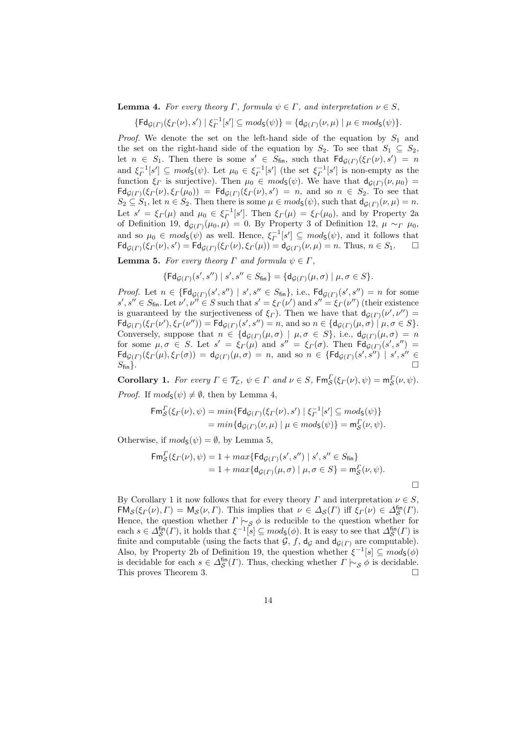**Lemma 4.** For every theory  $\Gamma$ , formula  $\psi \in \Gamma$ , and interpretation  $\nu \in S$ ,

 $\{\mathsf{Fd}_{\mathcal{G}(\Gamma)}(\xi_{\Gamma}(\nu),s') \mid \xi_{\Gamma}^{-1}[s'] \subseteq mod_{\mathsf{S}}(\psi)\} = \{\mathsf{d}_{\mathcal{G}(\Gamma)}(\nu,\mu) \mid \mu \in mod_{\mathsf{S}}(\psi)\}.$ 

*Proof.* We denote the set on the left-hand side of the equation by  $S_1$  and the set on the right-hand side of the equation by  $S_2$ . To see that  $S_1 \subseteq S_2$ , let  $n \in S_1$ . Then there is some  $s' \in S_{fin}$ , such that  $\text{Fd}_{\mathcal{G}(\Gamma)}(\xi_{\Gamma}(\nu), s') = n$ and  $\xi_{\Gamma}^{-1}[s'] \subseteq \text{mod}_{\mathsf{S}}(\psi)$ . Let  $\mu_0 \in \xi_{\Gamma}^{-1}[s']$  (the set  $\xi_{\Gamma}^{-1}[s']$  is non-empty as the function  $\xi_{\Gamma}$  is surjective). Then  $\mu_0 \in mod_{\mathsf{S}}(\psi)$ . We have that  $d_{\mathcal{G}(\Gamma)}(\nu, \mu_0) =$  $\mathsf{Fdg}(r)(\xi_r(\nu), \xi_r(\mu_0)) = \mathsf{Fdg}(r)(\xi_r(\nu), s') = n$ , and so  $n \in S_2$ . To see that  $S_2 \subseteq S_1$ , let  $n \in S_2$ . Then there is some  $\mu \in mod_S(\psi)$ , such that  $d_{\mathcal{G}(\Gamma)}(\nu, \mu) = n$ . Let  $s' = \xi \Gamma(\mu)$  and  $\mu_0 \in \xi^{-1}[\mathfrak{s}']$ . Then  $\xi \Gamma(\mu) = \xi \Gamma(\mu_0)$ , and by Property 2a of Definition 19,  $d_{\mathcal{G}(\Gamma)}(\mu_0, \mu) = 0$ . By Property 3 of Definition 12,  $\mu \sim_{\Gamma} \mu_0$ , and so  $\mu_0 \in mod_5(\psi)$  as well. Hence,  $\xi_I^{-1}[s'] \subseteq mod_5(\psi)$ , and it follows that  $\mathsf{Fd}_{\mathcal{G}(\Gamma)}(\xi_{\Gamma}(\nu),s') = \mathsf{Fd}_{\mathcal{G}(\Gamma)}(\xi_{\Gamma}(\nu),\xi_{\Gamma}(\mu)) = \mathsf{d}_{\mathcal{G}(\Gamma)}(\nu,\mu) = n.$  Thus,  $n \in S_1$ .  $\Box$ 

**Lemma 5.** *For every theory*  $\Gamma$  *and formula*  $\psi \in \Gamma$ *,* 

$$
\{\mathsf{Fd}_{\mathcal{G}(\Gamma)}(s',s'') \mid s', s'' \in S_{\mathsf{fin}}\} = \{\mathsf{d}_{\mathcal{G}(\Gamma)}(\mu,\sigma) \mid \mu,\sigma \in S\}.
$$

*Proof.* Let  $n \in \{\text{Fd}_{\mathcal{G}(\Gamma)}(s', s'') \mid s', s'' \in S_{\text{fin}}\}, \text{ i.e., } \text{Fd}_{\mathcal{G}(\Gamma)}(s', s'') = n \text{ for some }$  $s', s'' \in S_{fin}$ . Let  $\nu', \nu'' \in S$  such that  $s' = \xi_{\Gamma}(\nu')$  and  $s'' = \xi_{\Gamma}(\nu'')$  (their existence is guaranteed by the surjectiveness of  $\xi$ <sup>*Γ*</sup>). Then we have that  $d_{\mathcal{G}}(F)(\nu', \nu'') =$  $\mathsf{Fd}_{\mathcal{G}(\Gamma)}(\xi_{\Gamma}(\nu'), \xi_{\Gamma}(\nu'')) = \mathsf{Fd}_{\mathcal{G}(\Gamma)}(s', s'') = n$ , and so  $n \in \{d_{\mathcal{G}(\Gamma)}(\mu, \sigma) \mid \mu, \sigma \in S\}.$ Conversely, suppose that  $n \in \{d_{\mathcal{G}(\Gamma)}(\mu, \sigma) \mid \mu, \sigma \in S\}$ , i.e.,  $d_{\mathcal{G}(\Gamma)}(\mu, \sigma) = n$ for some  $\mu, \sigma \in S$ . Let  $s' = \xi \Gamma(\mu)$  and  $s'' = \xi \Gamma(\sigma)$ . Then  $\mathsf{Fd}_{\mathcal{G}(\Gamma)}(s', s'') =$  $\mathsf{Fdg}_{\mathcal{G}(F)}(\xi_F(\mu), \xi_F(\sigma)) = \mathsf{d}_{\mathcal{G}(F)}(\mu, \sigma) = n$ , and so  $n \in \{\mathsf{Fdg}_{\mathcal{G}(F)}(s', s'') \mid s', s'' \in \mathsf{G}_{\mathcal{G}(F)}(s', s'') \mid s', s'' \in \mathsf{G}_{\mathcal{G}(F)}(s', s'') \mid s', s'' \in \mathsf{G}_{\mathcal{G}(F)}(s', s'') \mid s', s'' \in \mathsf{G}_{\mathcal{G}(F)}(s', s'') \mid s', s'' \in \mathsf{G}_{\mathcal{G}(F)}$  $S_{\text{fin}}$ }.

**Corollary 1.** For every  $\Gamma \in \mathcal{T}_{\mathcal{L}}, \psi \in \Gamma$  and  $\nu \in S$ ,  $\mathsf{Fm}_{\mathcal{S}}^{\Gamma}(\xi_{\Gamma}(\nu), \psi) = \mathsf{m}_{\mathcal{S}}^{\Gamma}(\nu, \psi)$ . *Proof.* If  $mod_{S}(\psi) \neq \emptyset$ , then by Lemma 4,

$$
\begin{aligned} \mathsf{Fm}_\mathcal{S}^{\Gamma}(\xi_{\Gamma}(\nu), \psi) &= \min \{ \mathsf{Fd}_{\mathcal{G}(\Gamma)}(\xi_{\Gamma}(\nu), s') \mid \xi_{\Gamma}^{-1}[s'] \subseteq \mathit{mod}_{\mathsf{S}}(\psi) \} \\ &= \min \{ \mathsf{d}_{\mathcal{G}(\Gamma)}(\nu, \mu) \mid \mu \in \mathit{mod}_{\mathsf{S}}(\psi) \} = \mathsf{m}_\mathcal{S}^{\Gamma}(\nu, \psi). \end{aligned}
$$

Otherwise, if  $mod_{S}(\psi) = \emptyset$ , by Lemma 5,

$$
\begin{aligned} \mathsf{Fm}_\mathcal{S}^{\Gamma}(\xi_{\Gamma}(\nu), \psi) &= 1 + \max \{ \mathsf{Fd}_{\mathcal{G}(\Gamma)}(s', s'') \mid s', s'' \in S_{\mathsf{fin}} \} \\ &= 1 + \max \{ \mathsf{d}_{\mathcal{G}(\Gamma)}(\mu, \sigma) \mid \mu, \sigma \in S \} = \mathsf{m}_\mathcal{S}^{\Gamma}(\nu, \psi). \end{aligned}
$$

 $\Box$ 

By Corollary 1 it now follows that for every theory *Γ* and interpretation  $\nu \in S$ ,  $\mathsf{FM}_{\mathcal{S}}(\xi_{\Gamma}(\nu), \Gamma) = \mathsf{M}_{\mathcal{S}}(\nu, \Gamma)$ . This implies that  $\nu \in \Delta_{\mathcal{S}}(\Gamma)$  iff  $\xi_{\Gamma}(\nu) \in \Delta_{\mathcal{S}}^{\mathsf{fin}}(\Gamma)$ . Hence, the question whether  $\Gamma \vdash_{S} \phi$  is reducible to the question whether for  $\text{each } s \in \Delta_{\mathcal{S}}^{\text{fin}}(\Gamma)$ , it holds that  $\xi^{-1}[s] \subseteq \text{mod}_{\mathcal{S}}(\phi)$ . It is easy to see that  $\Delta_{\mathcal{S}}^{\text{fin}}(\Gamma)$  is finite and computable (using the facts that  $\mathcal{G}, f, d_{\mathcal{G}}$  and  $d_{\mathcal{G}}(r)$  are computable). Also, by Property 2b of Definition 19, the question whether  $\zeta^{-1}[s] \subseteq \text{mod}_{\mathsf{S}}(\phi)$ is decidable for each  $s \in \Delta_S^{\text{fin}}(\Gamma)$ . Thus, checking whether  $\Gamma \vdash_S \phi$  is decidable. This proves Theorem 3.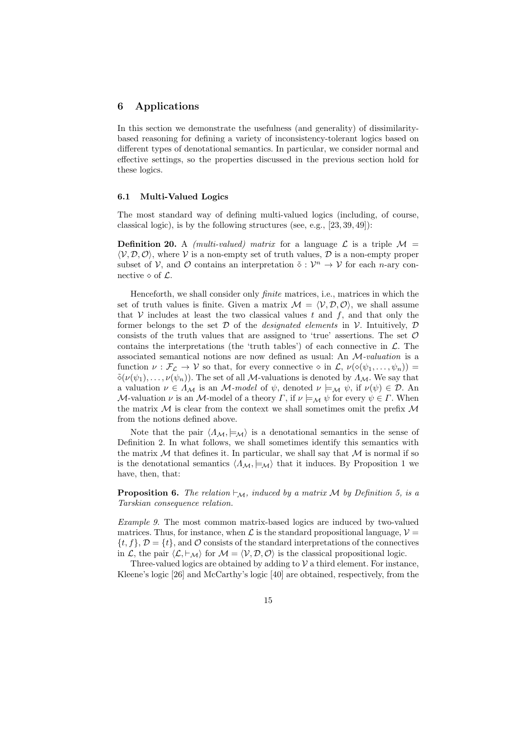### **6 Applications**

In this section we demonstrate the usefulness (and generality) of dissimilaritybased reasoning for defining a variety of inconsistency-tolerant logics based on different types of denotational semantics. In particular, we consider normal and effective settings, so the properties discussed in the previous section hold for these logics.

#### **6.1 Multi-Valued Logics**

The most standard way of defining multi-valued logics (including, of course, classical logic), is by the following structures (see, e.g., [23, 39, 49]):

**Definition 20.** A *(multi-valued) matrix* for a language  $\mathcal{L}$  is a triple  $\mathcal{M} =$  $\langle V, \mathcal{D}, \mathcal{O} \rangle$ , where  $V$  is a non-empty set of truth values,  $\mathcal{D}$  is a non-empty proper subset of *V*, and *O* contains an interpretation  $\tilde{\diamond}: \mathcal{V}^n \to \mathcal{V}$  for each *n*-ary connective  $\diamond$  of  $\mathcal{L}$ .

Henceforth, we shall consider only *finite* matrices, i.e., matrices in which the set of truth values is finite. Given a matrix  $\mathcal{M} = \langle \mathcal{V}, \mathcal{D}, \mathcal{O} \rangle$ , we shall assume that  $V$  includes at least the two classical values  $t$  and  $f$ , and that only the former belongs to the set *D* of the *designated elements* in *V*. Intuitively, *D* consists of the truth values that are assigned to 'true' assertions. The set *O* contains the interpretations (the 'truth tables') of each connective in  $\mathcal{L}$ . The associated semantical notions are now defined as usual: An *M-valuation* is a function  $\nu : \mathcal{F}_\mathcal{L} \to \mathcal{V}$  so that, for every connective  $\diamond$  in  $\mathcal{L}, \nu(\diamond(\psi_1, \ldots, \psi_n)) =$  $\tilde{\diamond}(\nu(\psi_1),\ldots,\nu(\psi_n)).$  The set of all *M*-valuations is denoted by  $\Lambda_M$ . We say that a valuation  $\nu \in \Lambda_M$  is an *M*-model of  $\psi$ , denoted  $\nu \models_M \psi$ , if  $\nu(\psi) \in \mathcal{D}$ . An *M*-valuation *ν* is an *M*-model of a theory *Γ*, if  $\nu \models_M \psi$  for every  $\psi \in \Gamma$ . When the matrix *M* is clear from the context we shall sometimes omit the prefix *M* from the notions defined above.

Note that the pair  $\langle A_{\mathcal{M}}, \models_{\mathcal{M}} \rangle$  is a denotational semantics in the sense of Definition 2. In what follows, we shall sometimes identify this semantics with the matrix  $M$  that defines it. In particular, we shall say that  $M$  is normal if so is the denotational semantics  $\langle A_{\mathcal{M}}, \models_{\mathcal{M}} \rangle$  that it induces. By Proposition 1 we have, then, that:

**Proposition 6.** *The relation*  $\vdash_{\mathcal{M}}$ *, induced by a matrix M by Definition* 5*, is a Tarskian consequence relation.*

*Example 9.* The most common matrix-based logics are induced by two-valued matrices. Thus, for instance, when  $\mathcal L$  is the standard propositional language,  $\mathcal V =$  $\{t, f\}, \mathcal{D} = \{t\}$ , and  $\mathcal{O}$  consists of the standard interpretations of the connectives in *L*, the pair  $\langle L, \vdash_{\mathcal{M}} \rangle$  for  $\mathcal{M} = \langle \mathcal{V}, \mathcal{D}, \mathcal{O} \rangle$  is the classical propositional logic.

Three-valued logics are obtained by adding to  $V$  a third element. For instance, Kleene's logic [26] and McCarthy's logic [40] are obtained, respectively, from the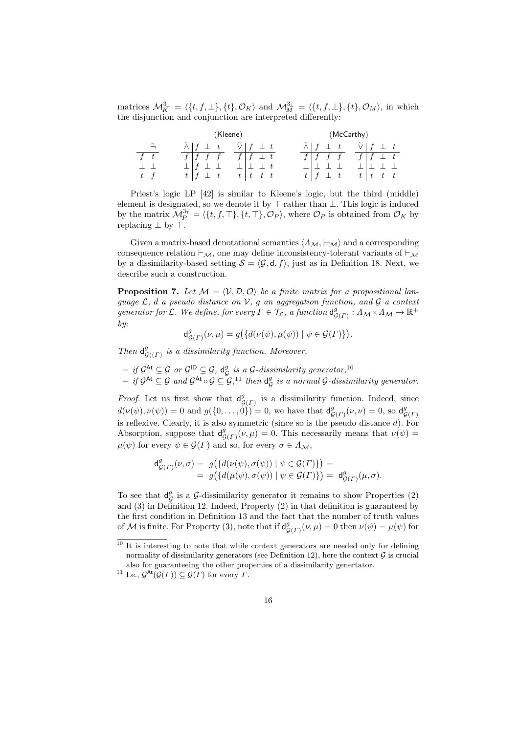matrices  $\mathcal{M}_K^{\mathfrak{Z}_{\perp}} = \langle \{t, f, \perp\}, \{t\}, \mathcal{O}_K \rangle$  and  $\mathcal{M}_M^{\mathfrak{Z}_{\perp}} = \langle \{t, f, \perp\}, \{t\}, \mathcal{O}_M \rangle$ , in which the disjunction and conjunction are interpreted differently:

| (Kleene)                                              |                               |  |  |  |  |  |           |              |  |              | (McCarthy) |  |   |  |  |  |  |  |  |
|-------------------------------------------------------|-------------------------------|--|--|--|--|--|-----------|--------------|--|--------------|------------|--|---|--|--|--|--|--|--|
| $\widetilde{\phantom{m}}$<br>$\overline{\phantom{a}}$ |                               |  |  |  |  |  | $\perp$ t |              |  |              |            |  | t |  |  |  |  |  |  |
|                                                       | f                             |  |  |  |  |  |           | $_{\perp}$ t |  | $\mathbf{f}$ |            |  |   |  |  |  |  |  |  |
|                                                       |                               |  |  |  |  |  |           |              |  |              |            |  |   |  |  |  |  |  |  |
|                                                       | $t_{\scriptscriptstyle\perp}$ |  |  |  |  |  |           |              |  | $t_{\rm}$    |            |  |   |  |  |  |  |  |  |

Priest's logic LP [42] is similar to Kleene's logic, but the third (middle) element is designated, so we denote it by *⊤* rather than *⊥*. This logic is induced by the matrix  $\mathcal{M}_P^{3\tau} = \langle \{t, f, \top\}, \{t, \top\}, \mathcal{O}_P \rangle$ , where  $\mathcal{O}_P$  is obtained from  $\mathcal{O}_K$  by replacing *⊥* by *⊤*.

Given a matrix-based denotational semantics *⟨ΛM, |*=*M⟩* and a corresponding consequence relation  $\vdash_{\mathcal{M}}$ , one may define inconsistency-tolerant variants of  $\vdash_{\mathcal{M}}$ by a dissimilarity-based setting  $S = \langle \mathcal{G}, \mathsf{d}, f \rangle$ , just as in Definition 18. Next, we describe such a construction.

**Proposition 7.** Let  $M = \langle V, D, O \rangle$  be a finite matrix for a propositional lan*guage L, d a pseudo distance on V, g an aggregation function, and G a context*  $g$ *enerator for*  $\mathcal{L}$ *. We define, for every*  $\Gamma \in \mathcal{T}_{\mathcal{L}}$ *, a function*  $\mathsf{d}_{\mathcal{G}}^g$  $^g_{\mathcal{G}(\Gamma)}: A_{\mathcal{M}} \times A_{\mathcal{M}} \rightarrow \mathbb{R}^+$ *by:*

$$
\mathrm{d}^g_{\mathcal{G}(\varGamma)}(\nu,\mu)=g\big(\{d(\nu(\psi),\mu(\psi))\mid \psi\in\mathcal{G}(\varGamma)\}\big).
$$

*Then*  $d_G^g$ *G*((*Γ*) *is a dissimilarity function. Moreover,*

- $-$  *if*  $\mathcal{G}^{\mathsf{At}} \subseteq \mathcal{G}$  *or*  $\mathcal{G}^{\mathsf{ID}} \subseteq \mathcal{G}$ *,*  $\mathsf{d}_{\mathcal{G}}^g$ *G is a G-dissimilarity generator,*<sup>10</sup>
- $-$  *if*  $\mathcal{G}^{\mathsf{At}} \subseteq \mathcal{G}$  and  $\mathcal{G}^{\mathsf{At}} \circ \mathcal{G} \subseteq \mathcal{G}$ ,<sup>11</sup> then  $\mathsf{d}_{\mathcal{C}}^{\mathcal{G}}$ *G is a normal G-dissimilarity generator.*

*Proof.* Let us first show that  $d_c^g$  $\mathcal{G}(F)$  is a dissimilarity function. Indeed, since  $d(\nu(\psi), \nu(\psi)) = 0$  and  $g(\{0, \ldots, 0\}) = 0$ , we have that  $d_{\mathcal{C}}^g$  $g_{(F)}(\nu,\nu) = 0$ , so d<sup>g</sup><sub> $\zeta$ </sub> *G*(*Γ*) is reflexive. Clearly, it is also symmetric (since so is the pseudo distance *d*). For Absorption, suppose that  $d_c^g$  $g_{(F)}(\nu,\mu) = 0$ . This necessarily means that  $\nu(\psi) =$  $\mu(\psi)$  for every  $\psi \in \mathcal{G}(\Gamma)$  and so, for every  $\sigma \in \Lambda_{\mathcal{M}},$ 

$$
\begin{array}{rl}\mathsf{d}_{\mathcal{G}(\varGamma)}^{g}(\nu,\sigma) = & g\big(\{d(\nu(\psi),\sigma(\psi)) \mid \psi \in \mathcal{G}(\varGamma)\}\big) = \\ & = & g\big(\{d(\mu(\psi),\sigma(\psi)) \mid \psi \in \mathcal{G}(\varGamma)\}\big) = & \mathsf{d}_{\mathcal{G}(\varGamma)}^{g}(\mu,\sigma).\end{array}
$$

To see that  $d_c^g$  $\frac{g}{G}$  is a *G*-dissimilarity generator it remains to show Properties (2) and (3) in Definition 12. Indeed, Property (2) in that definition is guaranteed by the first condition in Definition 13 and the fact that the number of truth values of M is finite. For Property  $(3)$ , note that if  $d_c^g$  $g_{(F)}(\nu,\mu) = 0$  then  $\nu(\psi) = \mu(\psi)$  for

<sup>&</sup>lt;sup>10</sup> It is interesting to note that while context generators are needed only for defining normality of dissimilarity generators (see Definition 12), here the context  $G$  is crucial also for guaranteeing the other properties of a dissimilarity genertator.

<sup>&</sup>lt;sup>11</sup> I.e.,  $\mathcal{G}^{\text{At}}(\mathcal{G}(\Gamma)) \subseteq \mathcal{G}(\Gamma)$  for every  $\Gamma$ .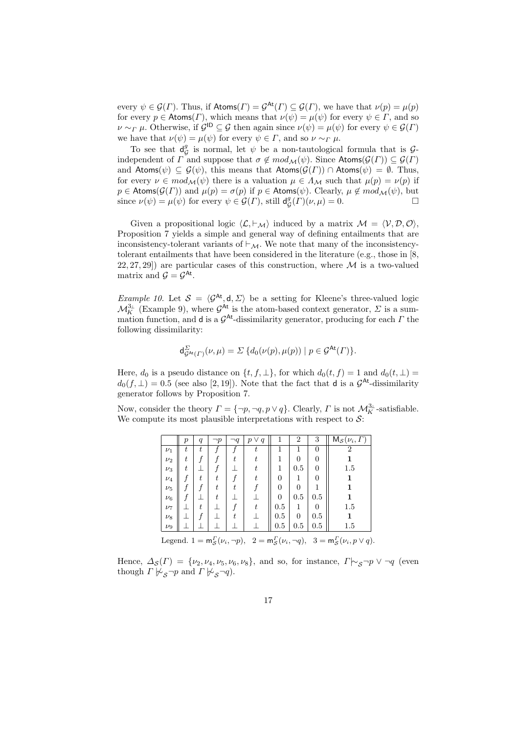every  $\psi \in \mathcal{G}(\Gamma)$ . Thus, if  $\text{Atoms}(\Gamma) = \mathcal{G}^{\text{At}}(\Gamma) \subseteq \mathcal{G}(\Gamma)$ , we have that  $\nu(p) = \mu(p)$ for every  $p \in$  Atoms(*Γ*), which means that  $\nu(\psi) = \mu(\psi)$  for every  $\psi \in \Gamma$ , and so *ν* ∼*Γ μ*. Otherwise, if  $\mathcal{G}^{\mathsf{ID}}$  ⊆  $\mathcal{G}$  then again since  $\nu(\psi) = \mu(\psi)$  for every  $\psi \in \mathcal{G}(\Gamma)$ we have that  $\nu(\psi) = \mu(\psi)$  for every  $\psi \in \Gamma$ , and so  $\nu \sim_{\Gamma} \mu$ .

To see that  $d_G^g$  is normal, let  $\psi$  be a non-tautological formula that is  $\mathcal{G}$ - $G$  independent of *Γ* and suppose that  $\sigma \notin mod_{\mathcal{M}}(\psi)$ . Since Atoms( $\mathcal{G}(\Gamma)$ )  $\subseteq \mathcal{G}(\Gamma)$ and  $\text{Atoms}(\psi) \subseteq \mathcal{G}(\psi)$ , this means that  $\text{Atoms}(\mathcal{G}(\Gamma)) \cap \text{Atoms}(\psi) = \emptyset$ . Thus, for every  $\nu \in mod_{\mathcal{M}}(\psi)$  there is a valuation  $\mu \in \Lambda_{\mathcal{M}}$  such that  $\mu(p) = \nu(p)$  if *p*  $\in$  Atoms( $\mathcal{G}(\Gamma)$ ) and  $\mu(p) = \sigma(p)$  if  $p \in$  Atoms( $\psi$ ). Clearly,  $\mu \notin mod_{\mathcal{M}}(\psi)$ , but since  $\nu(\psi) = \mu(\psi)$  for every  $\psi \in \mathcal{G}(\Gamma)$ , still  $d_{\mathcal{G}}^{\beta}(\Gamma)(\nu, \mu) = 0$ . since  $\nu(\psi) = \mu(\psi)$  for every  $\psi \in \mathcal{G}(\Gamma)$ , still d<sub>*g</sub>*</sub>  $G^g(\Gamma)(\nu,\mu) = 0.$ 

Given a propositional logic  $\langle \mathcal{L}, \vdash_{\mathcal{M}} \rangle$  induced by a matrix  $\mathcal{M} = \langle \mathcal{V}, \mathcal{D}, \mathcal{O} \rangle$ , Proposition 7 yields a simple and general way of defining entailments that are inconsistency-tolerant variants of *⊢M*. We note that many of the inconsistencytolerant entailments that have been considered in the literature (e.g., those in [8, 22, 27, 29]) are particular cases of this construction, where *M* is a two-valued matrix and  $\mathcal{G} = \mathcal{G}^{\mathsf{At}}$ .

*Example 10.* Let  $S = \langle G^{At}, d, \Sigma \rangle$  be a setting for Kleene's three-valued logic  $\mathcal{M}_K^{3_\perp}$  (Example 9), where  $\mathcal{G}^{\mathsf{At}}$  is the atom-based context generator,  $\Sigma$  is a summation function, and d is a *G* At-dissimilarity generator, producing for each *Γ* the following dissimilarity:

$$
\mathsf{d}_{\mathcal{G}^{\mathsf{At}}(\varGamma)}^{\Sigma}(\nu,\mu)=\Sigma\,\{d_0(\nu(p),\mu(p))\mid p\in\mathcal{G}^{\mathsf{At}}(\varGamma)\}.
$$

Here,  $d_0$  is a pseudo distance on  $\{t, f, \perp\}$ , for which  $d_0(t, f) = 1$  and  $d_0(t, \perp) =$  $d_0(f, \perp) = 0.5$  (see also [2, 19]). Note that the fact that **d** is a  $\mathcal{G}^{\mathsf{At}}$ -dissimilarity generator follows by Proposition 7.

Now, consider the theory  $\Gamma = \{\neg p, \neg q, p \lor q\}$ . Clearly,  $\Gamma$  is not  $\mathcal{M}_{K}^{3_{\perp}}$ -satisfiable. We compute its most plausible interpretations with respect to  $S$ :

|                                                                                                                       | р | $\boldsymbol{q}$ | $\neg p$ | ٦q | $\boldsymbol{p}$<br>V<br>q |          | 2        | 3            | $M_{\mathcal{S}}(\nu_i, I)$ |  |  |
|-----------------------------------------------------------------------------------------------------------------------|---|------------------|----------|----|----------------------------|----------|----------|--------------|-----------------------------|--|--|
| $\nu_1$                                                                                                               | t | t                |          |    | t                          |          |          | $\mathbf{0}$ | 2                           |  |  |
| $\nu_2$                                                                                                               | t |                  |          | t  |                            | 1        | 0        |              |                             |  |  |
| $\nu_3$                                                                                                               | t |                  |          |    |                            | 1        | 0.5      |              | 1.5                         |  |  |
| $\nu_4$                                                                                                               |   | t                | t        |    | t                          | 0        | 1        |              |                             |  |  |
| $\nu_5$                                                                                                               |   |                  | t        | t  |                            | 0        | 0        |              |                             |  |  |
| $\nu_6$                                                                                                               |   |                  | t        |    |                            | $\theta$ | 0.5      | 0.5          |                             |  |  |
| $\nu_7$                                                                                                               |   | $\boldsymbol{t}$ |          |    | $t\,$                      | 0.5      | 1        | 0            | 1.5                         |  |  |
| $\nu_8$                                                                                                               |   |                  |          | t  |                            | 0.5      | $\Omega$ | 0.5          |                             |  |  |
| $\nu_9$                                                                                                               |   |                  |          |    |                            | 0.5      | 0.5      | $0.5\,$      | 1.5                         |  |  |
| Legend. $1 = m_S^{\Gamma}(\nu_i, \neg p)$ , $2 = m_S^{\Gamma}(\nu_i, \neg q)$ , $3 = m_S^{\Gamma}(\nu_i, p \vee q)$ . |   |                  |          |    |                            |          |          |              |                             |  |  |

Hence,  $\Delta_{\mathcal{S}}(\Gamma) = \{\nu_2, \nu_4, \nu_5, \nu_6, \nu_8\}$ , and so, for instance,  $\Gamma \sim_{\mathcal{S}} \neg p \lor \neg q$  (even though  $\Gamma \not\vdash_S \neg p$  and  $\Gamma \not\vdash_S \neg q$ .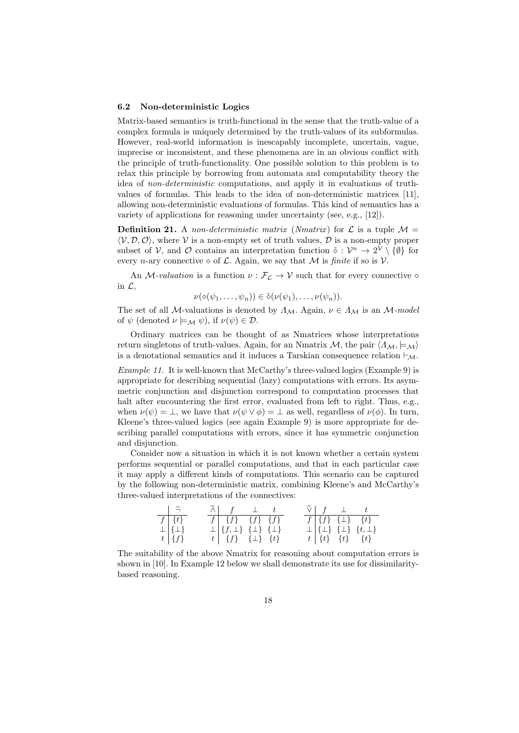#### **6.2 Non-deterministic Logics**

Matrix-based semantics is truth-functional in the sense that the truth-value of a complex formula is uniquely determined by the truth-values of its subformulas. However, real-world information is inescapably incomplete, uncertain, vague, imprecise or inconsistent, and these phenomena are in an obvious conflict with the principle of truth-functionality. One possible solution to this problem is to relax this principle by borrowing from automata and computability theory the idea of *non-deterministic* computations, and apply it in evaluations of truthvalues of formulas. This leads to the idea of non-deterministic matrices [11], allowing non-deterministic evaluations of formulas. This kind of semantics has a variety of applications for reasoning under uncertainty (see, e.g., [12]).

**Definition 21.** A *non-deterministic matrix* (*Nmatrix*) for  $\mathcal{L}$  is a tuple  $\mathcal{M} =$  $\langle V, \mathcal{D}, \mathcal{O} \rangle$ , where  $V$  is a non-empty set of truth values,  $\mathcal{D}$  is a non-empty proper subset of *V*, and *O* contains an interpretation function  $\tilde{\diamond}: \mathcal{V}^n \to 2^{\mathcal{V}} \setminus {\emptyset}$  for every *n*-ary connective  $\diamond$  of  $\mathcal{L}$ . Again, we say that  $\mathcal{M}$  is finite if so is  $\mathcal{V}$ .

An *M-valuation* is a function  $\nu : \mathcal{F}_\mathcal{L} \to \mathcal{V}$  such that for every connective  $\diamond$ in *L*,

$$
\nu(\diamond(\psi_1,\ldots,\psi_n))\in\tilde{\diamond}(\nu(\psi_1),\ldots,\nu(\psi_n)).
$$

The set of all *M*-valuations is denoted by  $\Lambda_M$ . Again,  $\nu \in \Lambda_M$  is an *M*-model of  $\psi$  (denoted  $\nu \models_M \psi$ ), if  $\nu(\psi) \in \mathcal{D}$ .

Ordinary matrices can be thought of as Nmatrices whose interpretations return singletons of truth-values. Again, for an Nmatrix *M*, the pair  $\langle \Lambda_M, \models_M \rangle$ is a denotational semantics and it induces a Tarskian consequence relation *⊢M*.

*Example 11.* It is well-known that McCarthy's three-valued logics (Example 9) is appropriate for describing sequential (lazy) computations with errors. Its asymmetric conjunction and disjunction correspond to computation processes that halt after encountering the first error, evaluated from left to right. Thus, e.g., when  $\nu(\psi) = \bot$ , we have that  $\nu(\psi \vee \phi) = \bot$  as well, regardless of  $\nu(\phi)$ . In turn, Kleene's three-valued logics (see again Example 9) is more appropriate for describing parallel computations with errors, since it has symmetric conjunction and disjunction.

Consider now a situation in which it is not known whether a certain system performs sequential or parallel computations, and that in each particular case it may apply a different kinds of computations. This scenario can be captured by the following non-deterministic matrix, combining Kleene's and McCarthy's three-valued interpretations of the connectives:

| $\overline{1}$ $\overline{2}$              |  | $\widetilde{\wedge}$ $f \perp t$                       |  |  |  | $\widetilde{\vee}$   $f \perp$   $t$                 |
|--------------------------------------------|--|--------------------------------------------------------|--|--|--|------------------------------------------------------|
| $f   \{t\}$                                |  | $f \mid \{f\} \mid \{f\} \mid \{f\}$                   |  |  |  | $f \vert \{f\} \vert \{ \bot \} \vert \{t\}$         |
| $\frac{1}{t}$ $\left\{\frac{1}{f}\right\}$ |  | $\perp \left[ \{f,\perp\} \right] \{\perp\} \{\perp\}$ |  |  |  | $\perp \vert \{ \perp \} \{ \perp \} \{ t, \perp \}$ |
|                                            |  | $t \mid \{f\} \{ \perp\} \{t\}$                        |  |  |  | $t   \{t\} \{t\} \{t\}   \{t\}$                      |

The suitability of the above Nmatrix for reasoning about computation errors is shown in [10]. In Example 12 below we shall demonstrate its use for dissimilaritybased reasoning.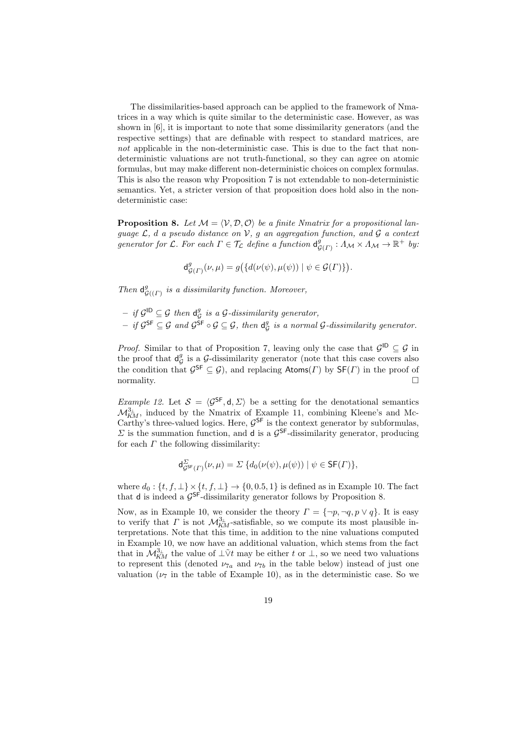The dissimilarities-based approach can be applied to the framework of Nmatrices in a way which is quite similar to the deterministic case. However, as was shown in [6], it is important to note that some dissimilarity generators (and the respective settings) that are definable with respect to standard matrices, are *not* applicable in the non-deterministic case. This is due to the fact that nondeterministic valuations are not truth-functional, so they can agree on atomic formulas, but may make different non-deterministic choices on complex formulas. This is also the reason why Proposition 7 is not extendable to non-deterministic semantics. Yet, a stricter version of that proposition does hold also in the nondeterministic case:

**Proposition 8.** Let  $M = \langle V, \mathcal{D}, \mathcal{O} \rangle$  be a finite Nmatrix for a propositional lan*guage L, d a pseudo distance on V, g an aggregation function, and G a context generator for*  $\mathcal{L}$ *. For each*  $\Gamma \in \mathcal{T}_{\mathcal{L}}$  *define a function*  $d_{\mathcal{G}}^g$  $^g_{\mathcal{G}(\Gamma)}: A_{\mathcal{M}} \times A_{\mathcal{M}} \to \mathbb{R}^+$  *by:* 

$$
\mathrm{d}^g_{\mathcal{G}(\varGamma)}(\nu,\mu)=g\big(\{d(\nu(\psi),\mu(\psi))\mid\psi\in\mathcal{G}(\varGamma)\}\big).
$$

*Then*  $d_c^g$ *G*((*Γ*) *is a dissimilarity function. Moreover,*

 $-$  *if*  $\mathcal{G}^{\mathsf{ID}} \subseteq \mathcal{G}$  *then*  $\mathsf{d}_{\mathcal{C}}^g$ *G is a G-dissimilarity generator,*  $-$  *if*  $\mathcal{G}^{\mathsf{SF}} \subseteq \mathcal{G}$  and  $\mathcal{G}^{\mathsf{SF}} \circ \mathcal{G} \subseteq \mathcal{G}$ , then  $\mathsf{d}_{\mathcal{C}}^{\mathcal{G}}$ *G is a normal G-dissimilarity generator.*

*Proof.* Similar to that of Proposition 7, leaving only the case that  $G^{ID} \subseteq G$  in the proof that  $d_c^g$  $\mathcal{G}_\mathcal{G}$  is a  $\mathcal{G}$ -dissimilarity generator (note that this case covers also the condition that  $\mathcal{G}^{\mathsf{SF}} \subseteq \mathcal{G}$ , and replacing  $\mathsf{Atoms}(r)$  by  $\mathsf{SF}(r)$  in the proof of normality.  $\Box$ 

*Example 12.* Let  $S = \langle \mathcal{G}^{\mathsf{SF}}, \mathsf{d}, \Sigma \rangle$  be a setting for the denotational semantics  $\mathcal{M}_{KM}^{3_{\perp}}$ , induced by the Nmatrix of Example 11, combining Kleene's and Mc-Carthy's three-valued logics. Here,  $\mathcal{G}^{\mathsf{SF}}$  is the context generator by subformulas,  $Σ$  is the summation function, and **d** is a  $\mathcal{G}^{\mathsf{SF}}$ -dissimilarity generator, producing for each *Γ* the following dissimilarity:

$$
\mathsf{d}_{\mathcal{G}^{\mathsf{SF}}(\varGamma)}^{\Sigma}(\nu,\mu) = \Sigma \{ d_0(\nu(\psi),\mu(\psi)) \mid \psi \in \mathsf{SF}(\varGamma) \},
$$

where  $d_0$ :  $\{t, f, \perp\} \times \{t, f, \perp\} \to \{0, 0.5, 1\}$  is defined as in Example 10. The fact that **d** is indeed a  $\mathcal{G}^{\text{SF}}$ -dissimilarity generator follows by Proposition 8.

Now, as in Example 10, we consider the theory  $\Gamma = {\neg p, \neg q, p \lor q}$ . It is easy to verify that *Γ* is not  $\mathcal{M}_{KM}^{3_{\perp}}$ -satisfiable, so we compute its most plausible interpretations. Note that this time, in addition to the nine valuations computed in Example 10, we now have an additional valuation, which stems from the fact that in  $\mathcal{M}_{KM}^{3_{\perp}}$  the value of  $\bot \tilde{\vee} t$  may be either *t* or  $\bot$ , so we need two valuations to represent this (denoted  $\nu_{7a}$  and  $\nu_{7b}$  in the table below) instead of just one valuation  $(\nu_7)$  in the table of Example 10), as in the deterministic case. So we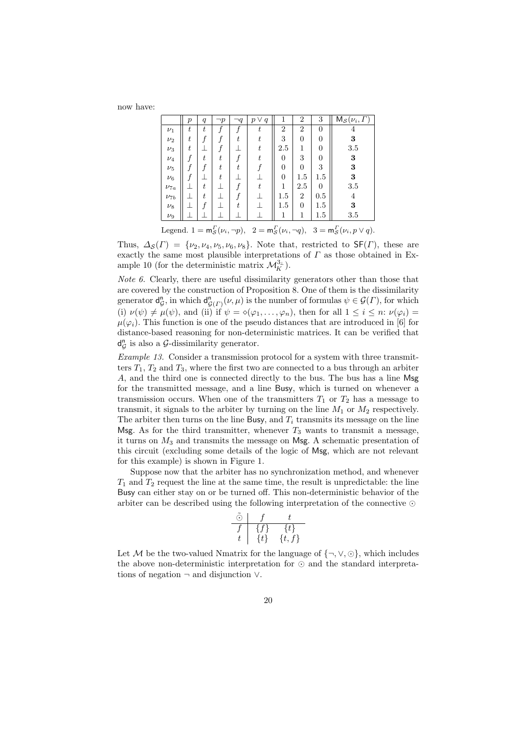now have:

|            | $\,p\,$ | $\boldsymbol{q}$ | $\neg p$                 | $\neg q$ . | $p \vee$<br>q | 1                        | $\boldsymbol{2}$ | 3              | $M_{\mathcal{S}}(\nu_i,\Gamma)$ |
|------------|---------|------------------|--------------------------|------------|---------------|--------------------------|------------------|----------------|---------------------------------|
| $\nu_1$    | t       | $\boldsymbol{t}$ |                          | f          | t             | $\overline{2}$           | $\overline{2}$   | $\overline{0}$ | 4                               |
| $\nu_2$    | t       |                  |                          | t          | t             | 3                        | $\overline{0}$   | $\overline{0}$ | $\bf{3}$                        |
| $\nu_3$    | t       |                  |                          |            | t             | 2.5                      | 1                | $\overline{0}$ | 3.5                             |
| $\nu_4$    |         | t                | t                        |            | t             | $\overline{0}$           | 3                | $\overline{0}$ | $\bf{3}$                        |
| $\nu_5$    |         |                  | t.                       | t          |               | $\overline{0}$           | $\overline{0}$   | 3              | $\bf{3}$                        |
| $\nu_6$    |         |                  | t                        |            |               | $\overline{0}$           | 1.5              | 1.5            | $\bf{3}$                        |
| $\nu_{7a}$ |         | t                |                          | f          | t             | 1                        | 2.5              | $\overline{0}$ | 3.5                             |
| $\nu_{7b}$ |         | t                |                          |            |               | 1.5                      | $\overline{2}$   | 0.5            | 4                               |
| $\nu_8$    |         | f                |                          | t          |               | 1.5                      | $\overline{0}$   | $1.5\,$        | $\bf{3}$                        |
| $\nu_9$    |         |                  |                          |            |               | 1                        | 1                | $1.5\,$        | 3.5                             |
|            |         |                  | $\overline{\phantom{a}}$ |            |               | $\overline{\phantom{a}}$ |                  |                | $\overline{\phantom{a}}$        |

Legend.  $1 = m_S^{\Gamma}(\nu_i, \neg p)$ ,  $2 = m_S^{\Gamma}(\nu_i, \neg q)$ ,  $3 = m_S^{\Gamma}(\nu_i, p \lor q)$ .

Thus,  $\Delta_{\mathcal{S}}(F) = \{\nu_2, \nu_4, \nu_5, \nu_6, \nu_8\}$ . Note that, restricted to  $\mathsf{SF}(F)$ , these are exactly the same most plausible interpretations of *Γ* as those obtained in Example 10 (for the deterministic matrix  $\mathcal{M}_K^{3_\perp}$ ).

*Note 6.* Clearly, there are useful dissimilarity generators other than those that are covered by the construction of Proposition 8. One of them is the dissimilarity generator d n  $G$ , in which  $d_{\mathcal{G}(\Gamma)}^n(\nu,\mu)$  is the number of formulas  $\psi \in \mathcal{G}(\Gamma)$ , for which (i)  $\nu(\psi) \neq \mu(\psi)$ , and (ii) if  $\psi = \diamond(\varphi_1, \ldots, \varphi_n)$ , then for all  $1 \leq i \leq n$ :  $\nu(\varphi_i) =$  $\mu(\varphi_i)$ . This function is one of the pseudo distances that are introduced in [6] for distance-based reasoning for non-deterministic matrices. It can be verified that d n  $G$ <sup>n</sup> is also a *G*-dissimilarity generator.

*Example 13.* Consider a transmission protocol for a system with three transmitters  $T_1$ ,  $T_2$  and  $T_3$ , where the first two are connected to a bus through an arbiter *A*, and the third one is connected directly to the bus. The bus has a line Msg for the transmitted message, and a line Busy, which is turned on whenever a transmission occurs. When one of the transmitters  $T_1$  or  $T_2$  has a message to transmit, it signals to the arbiter by turning on the line  $M_1$  or  $M_2$  respectively. The arbiter then turns on the line Busy, and  $T_i$  transmits its message on the line Msg. As for the third transmitter, whenever  $T_3$  wants to transmit a message, it turns on *M*<sup>3</sup> and transmits the message on Msg. A schematic presentation of this circuit (excluding some details of the logic of Msg, which are not relevant for this example) is shown in Figure 1.

Suppose now that the arbiter has no synchronization method, and whenever  $T_1$  and  $T_2$  request the line at the same time, the result is unpredictable: the line Busy can either stay on or be turned off. This non-deterministic behavior of the arbiter can be described using the following interpretation of the connective *⊙*

$$
\begin{array}{c|cc}\n\tilde{\odot} & f & t \\
\hline\nf & \{f\} & \{t\} \\
t & \{t\} & \{t,f\}\n\end{array}
$$

Let *M* be the two-valued Nmatrix for the language of  $\{\neg, \vee, \odot\}$ , which includes the above non-deterministic interpretation for *⊙* and the standard interpretations of negation *¬* and disjunction *∨*.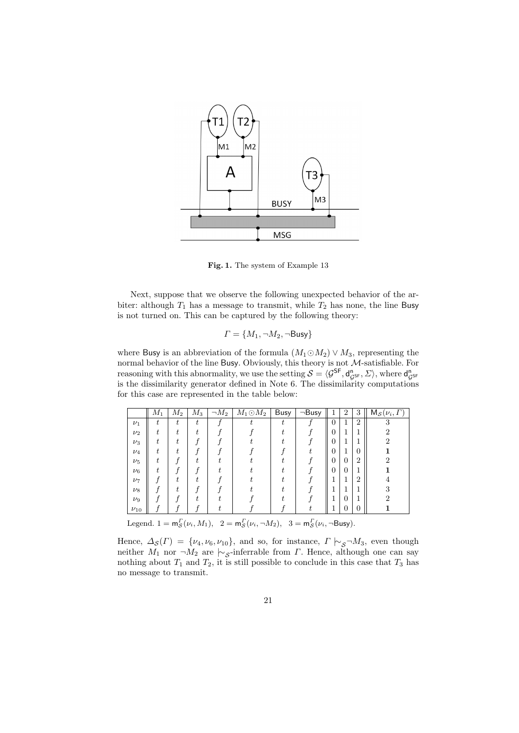

**Fig. 1.** The system of Example 13

Next, suppose that we observe the following unexpected behavior of the arbiter: although  $T_1$  has a message to transmit, while  $T_2$  has none, the line Busy is not turned on. This can be captured by the following theory:

$$
\varGamma=\{M_1, \neg M_2, \neg \mathsf{Busy}\}
$$

where Busy is an abbreviation of the formula  $(M_1 \odot M_2) \vee M_3$ , representing the normal behavior of the line Busy. Obviously, this theory is not *M*-satisfiable. For reasoning with this abnormality, we use the setting  $S = \langle \mathcal{G}^{SF}, d_{gsF}^{n}, \Sigma \rangle$ , where  $d_{gsF}^{n}$ is the dissimilarity generator defined in Note 6. The dissimilarity computations for this case are represented in the table below:

|            | $M_1$ | $M_2$ | $\overline{M}_3$ | $\neg M_2$ | $M_1 \odot M_2$ | <b>Busy</b> | $\neg$ Busy | 1              | 2              | 3              | $\overline{\mathsf{M}}_{\mathcal{S}}(\nu_i,\Gamma)$ |
|------------|-------|-------|------------------|------------|-----------------|-------------|-------------|----------------|----------------|----------------|-----------------------------------------------------|
| $\nu_1$    | t     | ŧ     | t.               |            |                 | Ŧ.          |             | $\overline{0}$ | 1              | $\overline{2}$ | 3                                                   |
| $\nu_2$    | t.    |       | +                |            |                 |             |             | $\theta$       | 1              | ш              | 2                                                   |
| $\nu_3$    | t.    |       |                  |            |                 |             |             | $\theta$       | 1              | ш              | 2                                                   |
| $\nu_4$    |       |       |                  |            |                 |             |             | $\theta$       | 1              | $\overline{0}$ |                                                     |
| $\nu_5$    |       |       |                  |            |                 |             |             | $\theta$       | 0              | $\overline{2}$ |                                                     |
| $\nu_6$    |       |       |                  |            |                 |             |             | $\theta$       | 0              |                |                                                     |
| $\nu_7$    |       |       |                  |            |                 |             |             |                | 1              | $\overline{2}$ |                                                     |
| $\nu_8$    |       |       |                  |            |                 |             |             |                |                |                |                                                     |
| $\nu_9$    |       |       |                  |            |                 |             |             |                | $\overline{0}$ | ш              |                                                     |
| $\nu_{10}$ |       |       |                  |            |                 |             |             |                | 0              | $\overline{0}$ |                                                     |

Legend.  $1 = m_S^{\Gamma}(\nu_i, M_1)$ ,  $2 = m_S^{\Gamma}(\nu_i, \neg M_2)$ ,  $3 = m_S^{\Gamma}(\nu_i, \neg \text{Busy})$ .

Hence,  $\Delta_{\mathcal{S}}(\Gamma) = \{\nu_4, \nu_6, \nu_{10}\},\$  and so, for instance,  $\Gamma \vdash_{\mathcal{S}} \neg M_3$ , even though neither  $M_1$  nor  $\neg M_2$  are  $\sim$ <sub>*S*</sub>-inferrable from *Γ*. Hence, although one can say nothing about  $T_1$  and  $T_2$ , it is still possible to conclude in this case that  $T_3$  has no message to transmit.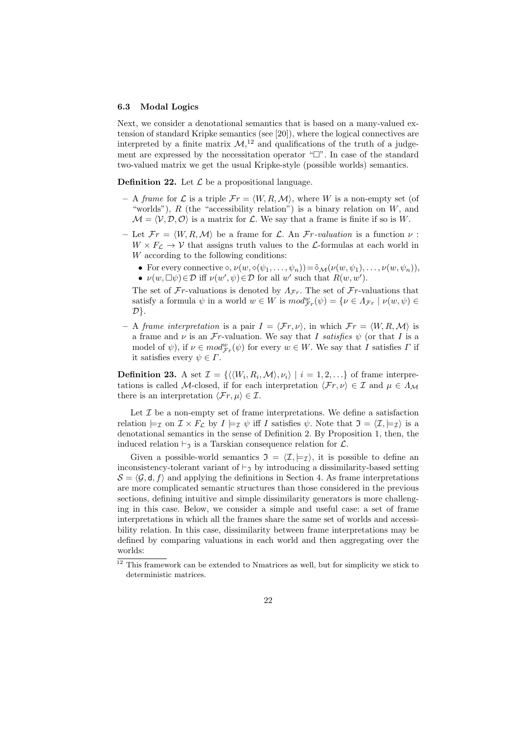#### **6.3 Modal Logics**

Next, we consider a denotational semantics that is based on a many-valued extension of standard Kripke semantics (see [20]), where the logical connectives are interpreted by a finite matrix  $M<sub>1</sub><sup>12</sup>$  and qualifications of the truth of a judgement are expressed by the necessitation operator " $\Box$ ". In case of the standard two-valued matrix we get the usual Kripke-style (possible worlds) semantics.

**Definition 22.** Let  $\mathcal{L}$  be a propositional language.

- $-$  A *frame* for  $\mathcal{L}$  is a triple  $\mathcal{F}r = \langle W, R, \mathcal{M} \rangle$ , where W is a non-empty set (of "worlds"), *R* (the "accessibility relation") is a binary relation on *W*, and  $\mathcal{M} = \langle \mathcal{V}, \mathcal{D}, \mathcal{O} \rangle$  is a matrix for  $\mathcal{L}$ . We say that a frame is finite if so is W.
- $-$  Let  $\mathcal{F}r = \langle W, R, \mathcal{M} \rangle$  be a frame for  $\mathcal{L}$ . An  $\mathcal{F}r$ *-valuation* is a function  $\nu$ :  $W \times F_L \rightarrow V$  that assigns truth values to the *L*-formulas at each world in *W* according to the following conditions:
	- For every connective  $\diamond, \nu(w, \diamond(\psi_1, \ldots, \psi_n)) = \tilde{\diamond}_{\mathcal{M}}(\nu(w, \psi_1), \ldots, \nu(w, \psi_n)),$ •  $\nu(w, \Box \psi) \in \mathcal{D}$  iff  $\nu(w', \psi) \in \mathcal{D}$  for all *w'* such that  $R(w, w')$ .

The set of  $\mathcal{F}r$ -valuations is denoted by  $\Lambda_{\mathcal{F}r}$ . The set of  $\mathcal{F}r$ -valuations that satisfy a formula  $\psi$  in a world  $w \in W$  is  $mod_{\mathcal{F}_r}^w(\psi) = \{ \nu \in \Lambda_{\mathcal{F}_r} \mid \nu(w, \psi) \in \mathbb{R}^n \}$ *D}*.

 $-$  A *frame interpretation* is a pair  $I = \langle \mathcal{F}r, \nu \rangle$ , in which  $\mathcal{F}r = \langle W, R, \mathcal{M} \rangle$  is a frame and  $\nu$  is an  $\mathcal{F}r$ -valuation. We say that *I* satisfies  $\psi$  (or that *I* is a model of  $\psi$ ), if  $\nu \in mod^w_{\mathcal{F}_r}(\psi)$  for every  $w \in W$ . We say that *I* satisfies *Γ* if it satisfies every  $\psi \in \Gamma$ .

**Definition 23.** A set  $\mathcal{I} = \{ \langle \langle W_i, R_i, \mathcal{M} \rangle, \nu_i \rangle \mid i = 1, 2, \ldots \}$  of frame interpretations is called *M*-closed, if for each interpretation  $\langle \mathcal{F}r, \nu \rangle \in \mathcal{I}$  and  $\mu \in \Lambda_{\mathcal{M}}$ there is an interpretation  $\langle \mathcal{F}r, \mu \rangle \in \mathcal{I}$ .

Let *I* be a non-empty set of frame interpretations. We define a satisfaction relation  $\models_{\mathcal{I}}$  on  $\mathcal{I} \times F_{\mathcal{L}}$  by  $I \models_{\mathcal{I}} \psi$  iff *I* satisfies  $\psi$ . Note that  $\mathcal{I} = \langle \mathcal{I}, \models_{\mathcal{I}} \rangle$  is a denotational semantics in the sense of Definition 2. By Proposition 1, then, the induced relation  $\vdash_{\mathcal{I}}$  is a Tarskian consequence relation for  $\mathcal{L}$ .

Given a possible-world semantics  $\mathfrak{I} = \langle \mathcal{I}, \models_{\mathcal{I}} \rangle$ , it is possible to define an inconsistency-tolerant variant of  $\vdash_{\mathfrak{I}}$  by introducing a dissimilarity-based setting  $\mathcal{S} = \langle \mathcal{G}, \mathsf{d}, f \rangle$  and applying the definitions in Section 4. As frame interpretations are more complicated semantic structures than those considered in the previous sections, defining intuitive and simple dissimilarity generators is more challenging in this case. Below, we consider a simple and useful case: a set of frame interpretations in which all the frames share the same set of worlds and accessibility relation. In this case, dissimilarity between frame interpretations may be defined by comparing valuations in each world and then aggregating over the worlds:

<sup>&</sup>lt;sup>12</sup> This framework can be extended to Nmatrices as well, but for simplicity we stick to deterministic matrices.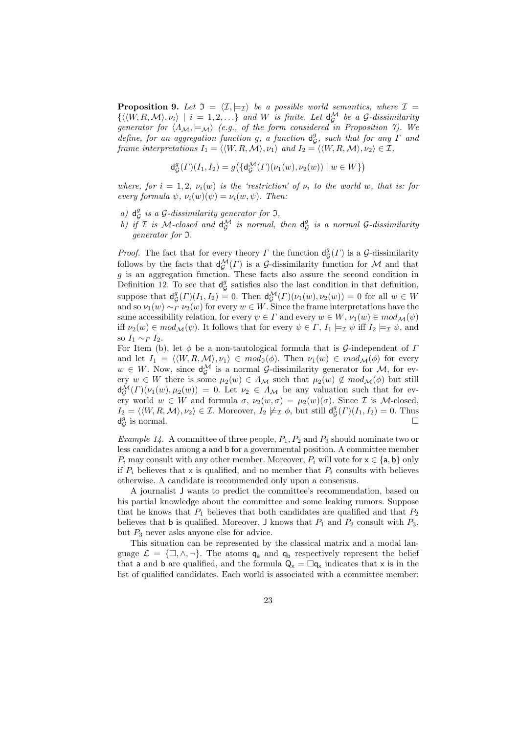**Proposition 9.** Let  $\mathfrak{I} = \langle \mathcal{I}, \models_{\mathcal{I}} \rangle$  be a possible world semantics, where  $\mathcal{I} =$  $\{\langle \langle W, R, M \rangle, \nu_i \rangle \mid i = 1, 2, \ldots \}$  and *W* is finite. Let  $d_G^{\mathcal{M}}$  be a  $\mathcal{G}$ -dissimilarity *generator for*  $\langle \Lambda_M, \models_{\mathcal{M}} \rangle$  (e.g., of the form considered in Proposition 7). We *define, for an aggregation function g, a function* d *g , such that for any Γ and*  $G_{\mathcal{G}}$  *frame interpretations*  $I_1 = \langle \langle W, R, \mathcal{M} \rangle, \nu_1 \rangle$  *and*  $I_2 = \langle \langle W, R, \mathcal{M} \rangle, \nu_2 \rangle \in \mathcal{I}$ ,

$$
\mathrm{d}^g_\mathcal{G}(\varGamma)(I_1,I_2)=g\big(\{\mathrm{d}^\mathcal{M}_\mathcal{G}(\varGamma)(\nu_1(w),\nu_2(w))\mid w\in W\}\big)
$$

*where, for*  $i = 1, 2, \nu_i(w)$  *is the 'restriction' of*  $\nu_i$  *to the world w, that is: for every formula*  $\psi$ ,  $\nu_i(w)(\psi) = \nu_i(w, \psi)$ . Then:

- *a*)  $d_G^g$  *is a G*-dissimilarity generator for 3,
- *b*) if *I* is *M*-closed and  $d_G^M$  is normal, then  $d_g^G$ *G is a normal G-dissimilarity generator for* I*.*

*Proof.* The fact that for every theory *Γ* the function  $d_G^g(\Gamma)$  is a *G*-dissimilarity follows by the facts that  $d_{G}^{\mathcal{M}}(\Gamma)$  is a *G*-dissimilarity function for *M* and that *g* is an aggregation function. These facts also assure the second condition in Definition 12. To see that  $d_{\mathcal{C}}^g$  $\mathcal{G}$  satisfies also the last condition in that definition, suppose that  $d_G^g(\Gamma)(I_1, I_2) = 0$ . Then  $d_G^{\mathcal{M}}(\Gamma)(\nu_1(w), \nu_2(w)) = 0$  for all  $w \in W$ and so  $\nu_1(w) \sim_{\Gamma} \nu_2(w)$  for every  $w \in W$ . Since the frame interpretations have the same accessibility relation, for every  $\psi \in \Gamma$  and every  $w \in W$ ,  $\nu_1(w) \in \mathit{mod}_{\mathcal{M}}(\psi)$ iff  $\nu_2(w) \in \mathit{mod}_{\mathcal{M}}(\psi)$ . It follows that for every  $\psi \in \Gamma$ ,  $I_1 \models_{\mathcal{I}} \psi$  iff  $I_2 \models_{\mathcal{I}} \psi$ , and so  $I_1 \sim_I I_2$ .

For Item (b), let *ϕ* be a non-tautological formula that is *G*-independent of *Γ* and let  $I_1 = \langle \langle W, R, \mathcal{M} \rangle, \nu_1 \rangle \in \mathit{mod}_3(\phi)$ . Then  $\nu_1(w) \in \mathit{mod}_{\mathcal{M}}(\phi)$  for every  $w \in W$ . Now, since  $d_G^{\mathcal{M}}$  is a normal *G*-dissimilarity generator for *M*, for ev $e^{\alpha}$   $\in W$  there is some  $\mu_2(w) \in \Lambda_M$  such that  $\mu_2(w) \notin \text{mod}_M(\phi)$  but still  $d_{\mathcal{G}}^{\mathcal{M}}(\Gamma)(\nu_1(w), \mu_2(w)) = 0$ . Let  $\nu_2 \in \Lambda_{\mathcal{M}}$  be any valuation such that for every world  $w \in W$  and formula  $\sigma$ ,  $\nu_2(w, \sigma) = \mu_2(w)(\sigma)$ . Since *I* is *M*-closed,  $I_2 = \langle \langle W, R, \mathcal{M} \rangle, \nu_2 \rangle \in \mathcal{I}$ . Moreover,  $I_2 \not\models \mathcal{I} \phi$ , but still  $d_{\mathcal{G}}^g$  $_{\mathcal{G}}^{g}(\Gamma)(I_1,I_2) = 0.$  Thus  $d^g_C$  $\mathcal{G}$  is normal.

*Example 14.* A committee of three people, *P*1*, P*<sup>2</sup> and *P*<sup>3</sup> should nominate two or less candidates among a and b for a governmental position. A committee member *P*<sup>*i*</sup> may consult with any other member. Moreover, *P*<sup>*i*</sup> will vote for  $x \in \{a, b\}$  only if  $P_i$  believes that x is qualified, and no member that  $P_i$  consults with believes otherwise. A candidate is recommended only upon a consensus.

A journalist J wants to predict the committee's recommendation, based on his partial knowledge about the committee and some leaking rumors. Suppose that he knows that  $P_1$  believes that both candidates are qualified and that  $P_2$ believes that **b** is qualified. Moreover, **J** knows that  $P_1$  and  $P_2$  consult with  $P_3$ , but  $P_3$  never asks anyone else for advice.

This situation can be represented by the classical matrix and a modal language  $\mathcal{L} = {\{\Box, \land, \neg\}}$ . The atoms  $q_a$  and  $q_b$  respectively represent the belief that a and b are qualified, and the formula  $Q_x = \Box q_x$  indicates that x is in the list of qualified candidates. Each world is associated with a committee member: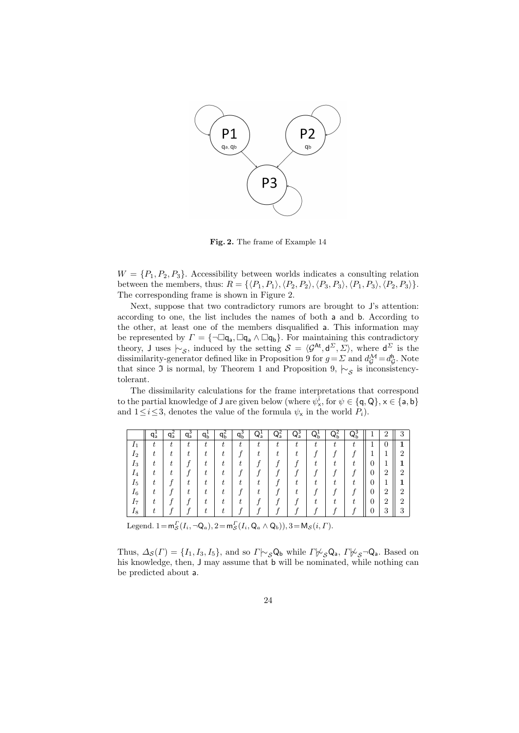

**Fig. 2.** The frame of Example 14

 $W = \{P_1, P_2, P_3\}$ . Accessibility between worlds indicates a consulting relation between the members, thus:  $R = \{ \langle P_1, P_1 \rangle, \langle P_2, P_2 \rangle, \langle P_3, P_3 \rangle, \langle P_1, P_3 \rangle, \langle P_2, P_3 \rangle \}.$ The corresponding frame is shown in Figure 2.

Next, suppose that two contradictory rumors are brought to J's attention: according to one, the list includes the names of both a and b. According to the other, at least one of the members disqualified a. This information may be represented by  $\Gamma = \{\neg \Box q_a, \Box q_a \land \Box q_b\}$ . For maintaining this contradictory theory, J uses  $\sim$ <sub>*S*</sub>, induced by the setting  $S = \langle \mathcal{G}^{\mathsf{At}}, \mathsf{d}^{\Sigma}, \Sigma \rangle$ , where  $\mathsf{d}^{\Sigma}$  is the dissimilarity-generator defined like in Proposition 9 for  $g = \Sigma$  and  $d_G^{\mathcal{M}} = d_G^{\mathcal{M}}$ *G* . Note that since <sup>I</sup> is normal, by Theorem 1 and Proposition 9, *|∼<sup>S</sup>* is inconsistencytolerant.

The dissimilarity calculations for the frame interpretations that correspond to the partial knowledge of **J** are given below (where  $\psi^i_x$ , for  $\psi \in \{\text{q}, \text{Q}\}, x \in \{\text{a}, \text{b}\}\$ and  $1 \leq i \leq 3$ , denotes the value of the formula  $\psi_x$  in the world  $P_i$ ).

|                | q÷ | $q_a^2$ | $q_a^3$ | $q_b^*$ | qѣ | $q_b^3$ | $\overline{Q}_a$ | $Q_a^2$ | $\bar{Q}_{a}$ | $Q_{b}^{1}$ | $Q_b^2$ | $Q_b^3$ |   | $\overline{2}$ | 3              |
|----------------|----|---------|---------|---------|----|---------|------------------|---------|---------------|-------------|---------|---------|---|----------------|----------------|
| $I_1$          |    | t       | t       | t.      | t  | t       |                  |         |               |             |         | ÷       |   | 0              |                |
| 12             |    |         |         |         |    |         |                  |         |               |             |         |         |   |                | ິ              |
| $I_3$          |    |         |         |         | ÷  |         |                  |         |               |             |         |         | U |                |                |
| 1 <sub>4</sub> |    |         |         |         |    |         |                  |         |               |             |         |         | 0 | $\overline{2}$ | 2              |
| 1 <sub>5</sub> |    |         |         |         |    |         |                  |         |               |             |         |         | U |                |                |
| $I_6$          |    |         |         |         |    |         |                  |         |               |             |         |         | 0 | $\overline{2}$ | $\overline{2}$ |
| 17             |    |         |         |         |    |         |                  |         |               |             |         |         | 0 | $\overline{2}$ | റ              |
| 18             |    |         |         |         |    |         |                  |         |               |             |         |         |   | 3              | R<br>IJ        |

Legend.  $1 = m_S^{\Gamma}(I_i, \neg Q_a)$ ,  $2 = m_S^{\Gamma}(I_i, Q_a \wedge Q_b)$ ),  $3 = M_S(i, \Gamma)$ .

Thus,  $\Delta_{\mathcal{S}}(\Gamma) = \{I_1, I_3, I_5\}$ , and so  $\Gamma \sim_{\mathcal{S}} \mathsf{Q}_{\mathsf{b}}$  while  $\Gamma \not\sim_{\mathcal{S}} \mathsf{Q}_{\mathsf{a}}$ ,  $\Gamma \not\sim_{\mathcal{S}} \neg \mathsf{Q}_{\mathsf{a}}$ . Based on his knowledge, then, J may assume that b will be nominated, while nothing can be predicted about a.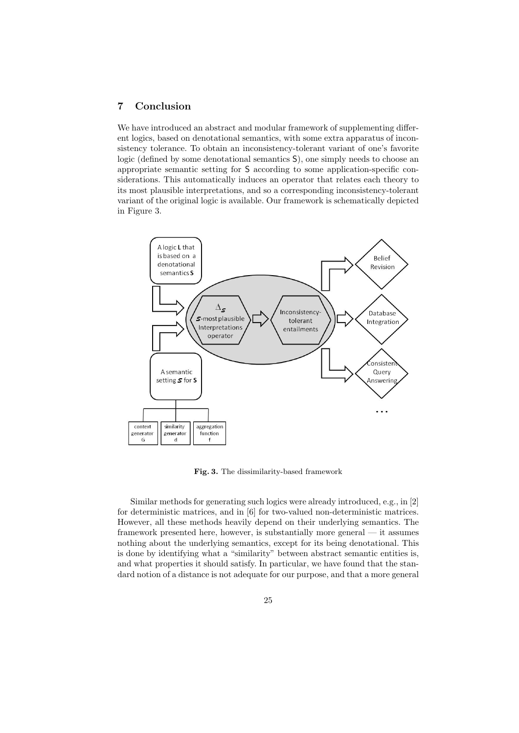## **7 Conclusion**

We have introduced an abstract and modular framework of supplementing different logics, based on denotational semantics, with some extra apparatus of inconsistency tolerance. To obtain an inconsistency-tolerant variant of one's favorite logic (defined by some denotational semantics S), one simply needs to choose an appropriate semantic setting for S according to some application-specific considerations. This automatically induces an operator that relates each theory to its most plausible interpretations, and so a corresponding inconsistency-tolerant variant of the original logic is available. Our framework is schematically depicted in Figure 3.



**Fig. 3.** The dissimilarity-based framework

Similar methods for generating such logics were already introduced, e.g., in [2] for deterministic matrices, and in [6] for two-valued non-deterministic matrices. However, all these methods heavily depend on their underlying semantics. The framework presented here, however, is substantially more general — it assumes nothing about the underlying semantics, except for its being denotational. This is done by identifying what a "similarity" between abstract semantic entities is, and what properties it should satisfy. In particular, we have found that the standard notion of a distance is not adequate for our purpose, and that a more general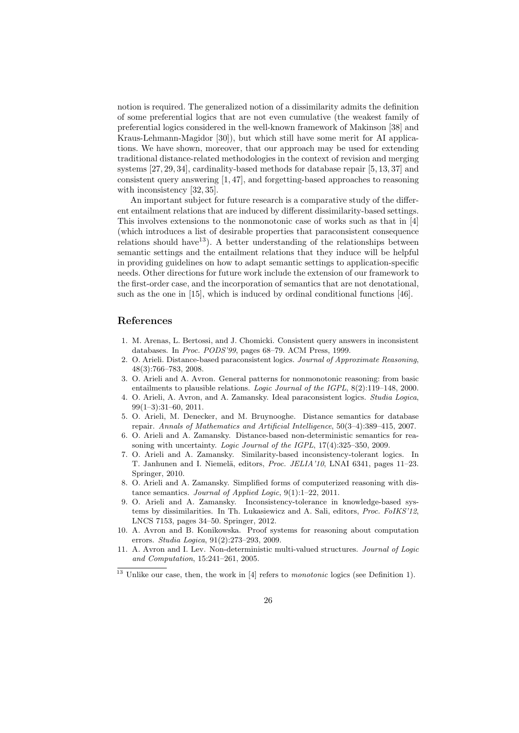notion is required. The generalized notion of a dissimilarity admits the definition of some preferential logics that are not even cumulative (the weakest family of preferential logics considered in the well-known framework of Makinson [38] and Kraus-Lehmann-Magidor [30]), but which still have some merit for AI applications. We have shown, moreover, that our approach may be used for extending traditional distance-related methodologies in the context of revision and merging systems [27, 29, 34], cardinality-based methods for database repair [5, 13, 37] and consistent query answering [1, 47], and forgetting-based approaches to reasoning with inconsistency [32, 35].

An important subject for future research is a comparative study of the different entailment relations that are induced by different dissimilarity-based settings. This involves extensions to the nonmonotonic case of works such as that in [4] (which introduces a list of desirable properties that paraconsistent consequence relations should have  $13$ ). A better understanding of the relationships between semantic settings and the entailment relations that they induce will be helpful in providing guidelines on how to adapt semantic settings to application-specific needs. Other directions for future work include the extension of our framework to the first-order case, and the incorporation of semantics that are not denotational, such as the one in [15], which is induced by ordinal conditional functions [46].

## **References**

- 1. M. Arenas, L. Bertossi, and J. Chomicki. Consistent query answers in inconsistent databases. In *Proc. PODS'99*, pages 68–79. ACM Press, 1999.
- 2. O. Arieli. Distance-based paraconsistent logics. *Journal of Approximate Reasoning*, 48(3):766–783, 2008.
- 3. O. Arieli and A. Avron. General patterns for nonmonotonic reasoning: from basic entailments to plausible relations. *Logic Journal of the IGPL*, 8(2):119–148, 2000.
- 4. O. Arieli, A. Avron, and A. Zamansky. Ideal paraconsistent logics. *Studia Logica*, 99(1–3):31–60, 2011.
- 5. O. Arieli, M. Denecker, and M. Bruynooghe. Distance semantics for database repair. *Annals of Mathematics and Artificial Intelligence*, 50(3–4):389–415, 2007.
- 6. O. Arieli and A. Zamansky. Distance-based non-deterministic semantics for reasoning with uncertainty. *Logic Journal of the IGPL*, 17(4):325–350, 2009.
- 7. O. Arieli and A. Zamansky. Similarity-based inconsistency-tolerant logics. In T. Janhunen and I. Niemelä, editors, *Proc. JELIA'10*, LNAI 6341, pages 11–23. Springer, 2010.
- 8. O. Arieli and A. Zamansky. Simplified forms of computerized reasoning with distance semantics. *Journal of Applied Logic*, 9(1):1–22, 2011.
- 9. O. Arieli and A. Zamansky. Inconsistency-tolerance in knowledge-based systems by dissimilarities. In Th. Lukasiewicz and A. Sali, editors, *Proc. FoIKS'12*, LNCS 7153, pages 34–50. Springer, 2012.
- 10. A. Avron and B. Konikowska. Proof systems for reasoning about computation errors. *Studia Logica*, 91(2):273–293, 2009.
- 11. A. Avron and I. Lev. Non-deterministic multi-valued structures. *Journal of Logic and Computation*, 15:241–261, 2005.

<sup>13</sup> Unlike our case, then, the work in [4] refers to *monotonic* logics (see Definition 1).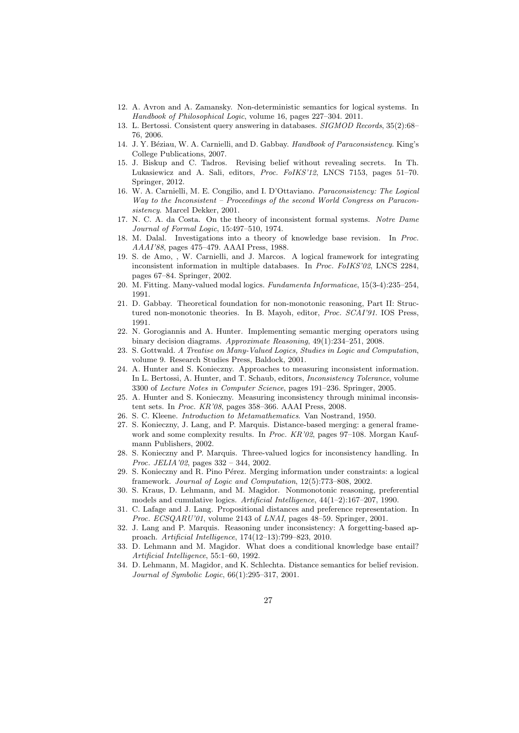- 12. A. Avron and A. Zamansky. Non-deterministic semantics for logical systems. In *Handbook of Philosophical Logic*, volume 16, pages 227–304. 2011.
- 13. L. Bertossi. Consistent query answering in databases. *SIGMOD Records*, 35(2):68– 76, 2006.
- 14. J. Y. B´eziau, W. A. Carnielli, and D. Gabbay. *Handbook of Paraconsistency*. King's College Publications, 2007.
- 15. J. Biskup and C. Tadros. Revising belief without revealing secrets. In Th. Lukasiewicz and A. Sali, editors, *Proc. FoIKS'12*, LNCS 7153, pages 51–70. Springer, 2012.
- 16. W. A. Carnielli, M. E. Congilio, and I. D'Ottaviano. *Paraconsistency: The Logical Way to the Inconsistent – Proceedings of the second World Congress on Paraconsistency*. Marcel Dekker, 2001.
- 17. N. C. A. da Costa. On the theory of inconsistent formal systems. *Notre Dame Journal of Formal Logic*, 15:497–510, 1974.
- 18. M. Dalal. Investigations into a theory of knowledge base revision. In *Proc. AAAI'88*, pages 475–479. AAAI Press, 1988.
- 19. S. de Amo, , W. Carnielli, and J. Marcos. A logical framework for integrating inconsistent information in multiple databases. In *Proc. FoIKS'02*, LNCS 2284, pages 67–84. Springer, 2002.
- 20. M. Fitting. Many-valued modal logics. *Fundamenta Informaticae*, 15(3-4):235–254, 1991.
- 21. D. Gabbay. Theoretical foundation for non-monotonic reasoning, Part II: Structured non-monotonic theories. In B. Mayoh, editor, *Proc. SCAI'91*. IOS Press, 1991.
- 22. N. Gorogiannis and A. Hunter. Implementing semantic merging operators using binary decision diagrams. *Approximate Reasoning*, 49(1):234–251, 2008.
- 23. S. Gottwald. *A Treatise on Many-Valued Logics, Studies in Logic and Computation*, volume 9. Research Studies Press, Baldock, 2001.
- 24. A. Hunter and S. Konieczny. Approaches to measuring inconsistent information. In L. Bertossi, A. Hunter, and T. Schaub, editors, *Inconsistency Tolerance*, volume 3300 of *Lecture Notes in Computer Science*, pages 191–236. Springer, 2005.
- 25. A. Hunter and S. Konieczny. Measuring inconsistency through minimal inconsistent sets. In *Proc. KR'08*, pages 358–366. AAAI Press, 2008.
- 26. S. C. Kleene. *Introduction to Metamathematics*. Van Nostrand, 1950.
- 27. S. Konieczny, J. Lang, and P. Marquis. Distance-based merging: a general framework and some complexity results. In *Proc. KR'02*, pages 97–108. Morgan Kaufmann Publishers, 2002.
- 28. S. Konieczny and P. Marquis. Three-valued logics for inconsistency handling. In *Proc. JELIA'02*, pages 332 – 344, 2002.
- 29. S. Konieczny and R. Pino Pérez. Merging information under constraints: a logical framework. *Journal of Logic and Computation*, 12(5):773–808, 2002.
- 30. S. Kraus, D. Lehmann, and M. Magidor. Nonmonotonic reasoning, preferential models and cumulative logics. *Artificial Intelligence*, 44(1–2):167–207, 1990.
- 31. C. Lafage and J. Lang. Propositional distances and preference representation. In *Proc. ECSQARU'01*, volume 2143 of *LNAI*, pages 48–59. Springer, 2001.
- 32. J. Lang and P. Marquis. Reasoning under inconsistency: A forgetting-based approach. *Artificial Intelligence*, 174(12–13):799–823, 2010.
- 33. D. Lehmann and M. Magidor. What does a conditional knowledge base entail? *Artificial Intelligence*, 55:1–60, 1992.
- 34. D. Lehmann, M. Magidor, and K. Schlechta. Distance semantics for belief revision. *Journal of Symbolic Logic*, 66(1):295–317, 2001.